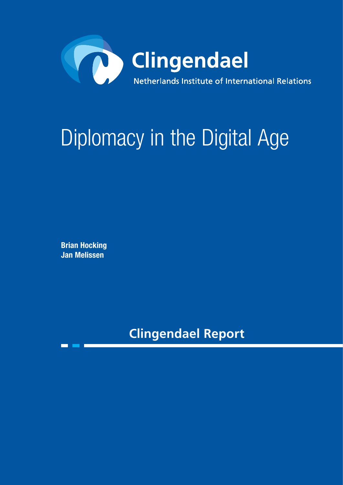

# Diplomacy in the Digital Age

Brian Hocking Jan Melissen

**Clingendael Report**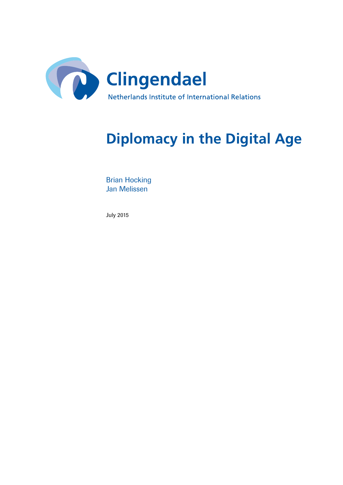

# **Diplomacy in the Digital Age**

Brian Hocking Jan Melissen

July 2015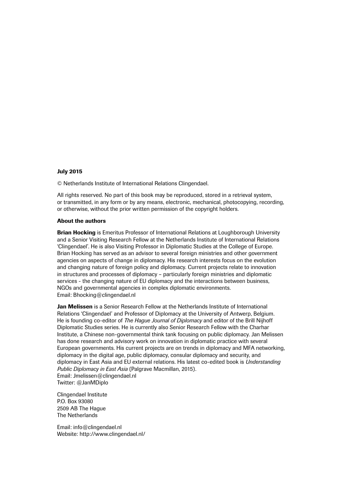#### July 2015

© Netherlands Institute of International Relations Clingendael.

All rights reserved. No part of this book may be reproduced, stored in a retrieval system, or transmitted, in any form or by any means, electronic, mechanical, photocopying, recording, or otherwise, without the prior written permission of the copyright holders.

#### About the authors

**Brian Hocking** is Emeritus Professor of International Relations at Loughborough University and a Senior Visiting Research Fellow at the Netherlands Institute of International Relations 'Clingendael'. He is also Visiting Professor in Diplomatic Studies at the College of Europe. Brian Hocking has served as an advisor to several foreign ministries and other government agencies on aspects of change in diplomacy. His research interests focus on the evolution and changing nature of foreign policy and diplomacy. Current projects relate to innovation in structures and processes of diplomacy – particularly foreign ministries and diplomatic services - the changing nature of EU diplomacy and the interactions between business, NGOs and governmental agencies in complex diplomatic environments. Email: Bhocking@clingendael.nl

Jan Melissen is a Senior Research Fellow at the Netherlands Institute of International Relations 'Clingendael' and Professor of Diplomacy at the University of Antwerp, Belgium. He is founding co-editor of *The Hague Journal of Diplomacy* and editor of the Brill Nijhoff Diplomatic Studies series. He is currently also Senior Research Fellow with the Charhar Institute, a Chinese non-governmental think tank focusing on public diplomacy. Jan Melissen has done research and advisory work on innovation in diplomatic practice with several European governments. His current projects are on trends in diplomacy and MFA networking, diplomacy in the digital age, public diplomacy, consular diplomacy and security, and diplomacy in East Asia and EU external relations. His latest co-edited book is *Understanding Public Diplomacy in East Asia* (Palgrave Macmillan, 2015). Email: Jmelissen@clingendael.nl Twitter: @JanMDiplo

Clingendael Institute P.O. Box 93080 2509 AB The Hague The Netherlands

Email: info@clingendael.nl Website: http://www.clingendael.nl/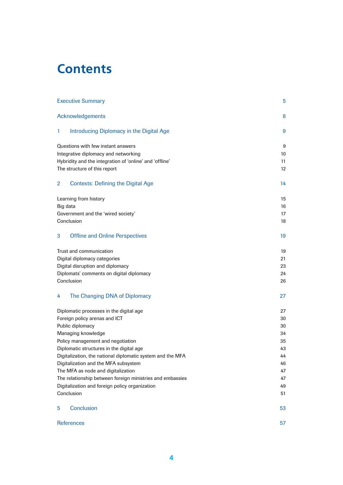# **Contents**

|                                                              | <b>Executive Summary</b>                                                   | 5        |  |
|--------------------------------------------------------------|----------------------------------------------------------------------------|----------|--|
|                                                              | Acknowledgements                                                           | 8        |  |
| 1                                                            | Introducing Diplomacy in the Digital Age                                   | 9        |  |
|                                                              | Questions with few instant answers                                         | 9        |  |
| Integrative diplomacy and networking                         |                                                                            | 10       |  |
| Hybridity and the integration of 'online' and 'offline'      |                                                                            | 11       |  |
|                                                              | The structure of this report                                               | 12       |  |
| 2                                                            | <b>Contexts: Defining the Digital Age</b>                                  | 14       |  |
|                                                              | Learning from history                                                      | 15       |  |
| Big data                                                     |                                                                            | 16       |  |
| Government and the 'wired society'                           |                                                                            | 17       |  |
|                                                              | Conclusion                                                                 | 18       |  |
| 3                                                            | <b>Offline and Online Perspectives</b>                                     | 19       |  |
|                                                              | Trust and communication                                                    | 19       |  |
| Digital diplomacy categories                                 |                                                                            | 21       |  |
| Digital disruption and diplomacy                             |                                                                            | 23       |  |
| Diplomats' comments on digital diplomacy                     |                                                                            | 24       |  |
|                                                              | Conclusion                                                                 | 26       |  |
| 4                                                            | The Changing DNA of Diplomacy                                              | 27       |  |
|                                                              | Diplomatic processes in the digital age                                    | 27       |  |
|                                                              | Foreign policy arenas and ICT                                              | 30       |  |
|                                                              | Public diplomacy<br>Managing knowledge                                     | 30       |  |
|                                                              | 34                                                                         |          |  |
| Policy management and negotiation                            | 35                                                                         |          |  |
|                                                              | Diplomatic structures in the digital age                                   | 43       |  |
|                                                              | Digitalization, the national diplomatic system and the MFA                 | 44<br>46 |  |
|                                                              | Digitalization and the MFA subsystem<br>The MFA as node and digitalization |          |  |
|                                                              | 47<br>47                                                                   |          |  |
| The relationship between foreign ministries and embassies    |                                                                            |          |  |
| Digitalization and foreign policy organization<br>Conclusion |                                                                            | 49<br>51 |  |
| 5                                                            | Conclusion                                                                 | 53       |  |
|                                                              | <b>References</b>                                                          | 57       |  |
|                                                              |                                                                            |          |  |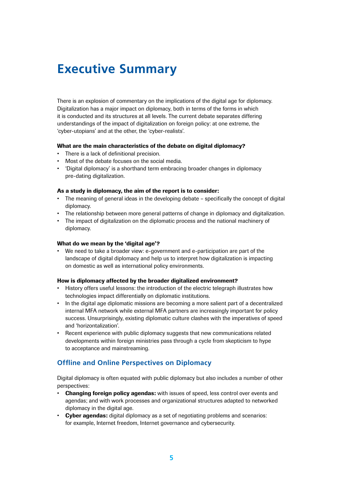# <span id="page-4-0"></span>**Executive Summary**

There is an explosion of commentary on the implications of the digital age for diplomacy. Digitalization has a major impact on diplomacy, both in terms of the forms in which it is conducted and its structures at all levels. The current debate separates differing understandings of the impact of digitalization on foreign policy: at one extreme, the 'cyber-utopians' and at the other, the 'cyber-realists'.

#### What are the main characteristics of the debate on digital diplomacy?

- There is a lack of definitional precision.
- Most of the debate focuses on the social media.
- 'Digital diplomacy' is a shorthand term embracing broader changes in diplomacy pre-dating digitalization.

#### As a study in diplomacy, the aim of the report is to consider:

- The meaning of general ideas in the developing debate specifically the concept of digital diplomacy.
- The relationship between more general patterns of change in diplomacy and digitalization.
- The impact of digitalization on the diplomatic process and the national machinery of diplomacy.

#### What do we mean by the 'digital age'?

We need to take a broader view: e-government and e-participation are part of the landscape of digital diplomacy and help us to interpret how digitalization is impacting on domestic as well as international policy environments.

#### How is diplomacy affected by the broader digitalized environment?

- History offers useful lessons: the introduction of the electric telegraph illustrates how technologies impact differentially on diplomatic institutions.
- In the digital age diplomatic missions are becoming a more salient part of a decentralized internal MFA network while external MFA partners are increasingly important for policy success. Unsurprisingly, existing diplomatic culture clashes with the imperatives of speed and 'horizontalization'.
- Recent experience with public diplomacy suggests that new communications related developments within foreign ministries pass through a cycle from skepticism to hype to acceptance and mainstreaming.

# **Offline and Online Perspectives on Diplomacy**

Digital diplomacy is often equated with public diplomacy but also includes a number of other perspectives:

- Changing foreign policy agendas: with issues of speed, less control over events and agendas; and with work processes and organizational structures adapted to networked diplomacy in the digital age.
- Cyber agendas: digital diplomacy as a set of negotiating problems and scenarios: for example, Internet freedom, Internet governance and cybersecurity.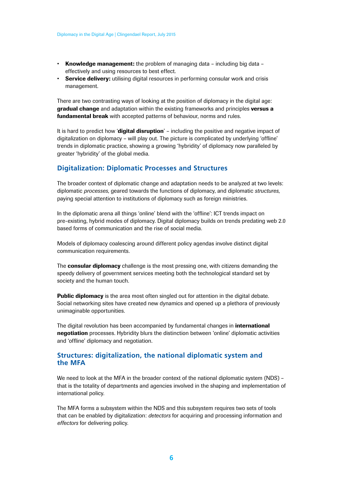- Knowledge management: the problem of managing data including big data effectively and using resources to best effect.
- Service delivery: utilising digital resources in performing consular work and crisis management.

There are two contrasting ways of looking at the position of diplomacy in the digital age: **gradual change** and adaptation within the existing frameworks and principles **versus a** fundamental break with accepted patterns of behaviour, norms and rules.

It is hard to predict how 'digital disruption' – including the positive and negative impact of digitalization on diplomacy – will play out. The picture is complicated by underlying 'offline' trends in diplomatic practice, showing a growing 'hybridity' of diplomacy now paralleled by greater 'hybridity' of the global media.

#### **Digitalization: Diplomatic Processes and Structures**

The broader context of diplomatic change and adaptation needs to be analyzed at two levels: diplomatic *processes*, geared towards the functions of diplomacy, and diplomatic *structures*, paying special attention to institutions of diplomacy such as foreign ministries.

In the diplomatic arena all things 'online' blend with the 'offline': ICT trends impact on pre-existing, hybrid modes of diplomacy. Digital diplomacy builds on trends predating web 2.0 based forms of communication and the rise of social media.

Models of diplomacy coalescing around different policy agendas involve distinct digital communication requirements.

The **consular diplomacy** challenge is the most pressing one, with citizens demanding the speedy delivery of government services meeting both the technological standard set by society and the human touch.

**Public diplomacy** is the area most often singled out for attention in the digital debate. Social networking sites have created new dynamics and opened up a plethora of previously unimaginable opportunities.

The digital revolution has been accompanied by fundamental changes in **international** negotiation processes. Hybridity blurs the distinction between 'online' diplomatic activities and 'offline' diplomacy and negotiation.

#### **Structures: digitalization, the national diplomatic system and the MFA**

We need to look at the MFA in the broader context of the national diplomatic system (NDS) – that is the totality of departments and agencies involved in the shaping and implementation of international policy.

The MFA forms a subsystem within the NDS and this subsystem requires two sets of tools that can be enabled by digitalization: *detectors* for acquiring and processing information and *effectors* for delivering policy.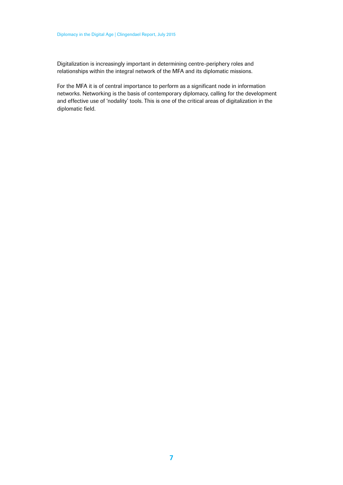Digitalization is increasingly important in determining centre-periphery roles and relationships within the integral network of the MFA and its diplomatic missions.

For the MFA it is of central importance to perform as a significant node in information networks. Networking is the basis of contemporary diplomacy, calling for the development and effective use of 'nodality' tools. This is one of the critical areas of digitalization in the diplomatic field.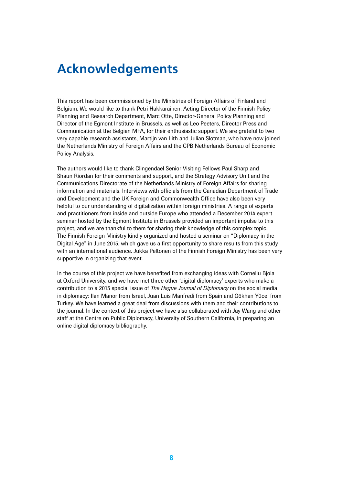# <span id="page-7-0"></span>**Acknowledgements**

This report has been commissioned by the Ministries of Foreign Affairs of Finland and Belgium. We would like to thank Petri Hakkarainen, Acting Director of the Finnish Policy Planning and Research Department, Marc Otte, Director-General Policy Planning and Director of the Egmont Institute in Brussels, as well as Leo Peeters, Director Press and Communication at the Belgian MFA, for their enthusiastic support. We are grateful to two very capable research assistants, Martijn van Lith and Julian Slotman, who have now joined the Netherlands Ministry of Foreign Affairs and the CPB Netherlands Bureau of Economic Policy Analysis.

The authors would like to thank Clingendael Senior Visiting Fellows Paul Sharp and Shaun Riordan for their comments and support, and the Strategy Advisory Unit and the Communications Directorate of the Netherlands Ministry of Foreign Affairs for sharing information and materials. Interviews with officials from the Canadian Department of Trade and Development and the UK Foreign and Commonwealth Office have also been very helpful to our understanding of digitalization within foreign ministries. A range of experts and practitioners from inside and outside Europe who attended a December 2014 expert seminar hosted by the Egmont Institute in Brussels provided an important impulse to this project, and we are thankful to them for sharing their knowledge of this complex topic. The Finnish Foreign Ministry kindly organized and hosted a seminar on "Diplomacy in the Digital Age" in June 2015, which gave us a first opportunity to share results from this study with an international audience. Jukka Peltonen of the Finnish Foreign Ministry has been very supportive in organizing that event.

In the course of this project we have benefited from exchanging ideas with Corneliu Bjola at Oxford University, and we have met three other 'digital diplomacy' experts who make a contribution to a 2015 special issue of *The Hague Journal of Diplomacy* on the social media in diplomacy: Ilan Manor from Israel, Juan Luis Manfredi from Spain and Gökhan Yücel from Turkey. We have learned a great deal from discussions with them and their contributions to the journal. In the context of this project we have also collaborated with Jay Wang and other staff at the Centre on Public Diplomacy, University of Southern California, in preparing an online digital diplomacy bibliography.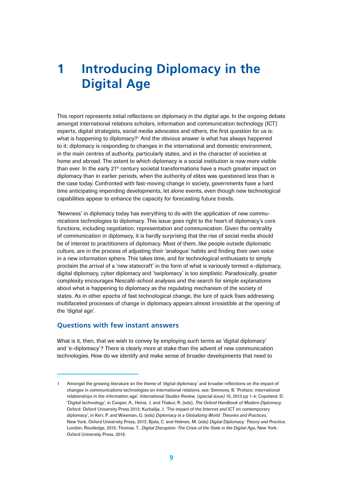# <span id="page-8-0"></span>**1 Introducing Diplomacy in the Digital Age**

This report represents initial reflections on diplomacy in the digital age. In the ongoing debate amongst international relations scholars, information and communication technology (ICT) experts, digital strategists, social media advocates and others, the first question for us is: what is happening to diplomacy?<sup>1</sup> And the obvious answer is what has always happened to it: diplomacy is responding to changes in the international and domestic environment, in the main centres of authority, particularly states, and in the character of societies at home and abroad. The extent to which diplomacy is a social institution is now more visible than ever. In the early 21<sup>st</sup> century societal transformations have a much greater impact on diplomacy than in earlier periods, when the authority of elites was questioned less than is the case today. Confronted with fast-moving change in society, governments have a hard time anticipating impending developments, let alone events, even though new technological capabilities appear to enhance the capacity for forecasting future trends.

'Newness' in diplomacy today has everything to do with the application of new communications technologies to diplomacy. This issue goes right to the heart of diplomacy's core functions, including negotiation, representation and communication. Given the centrality of communication in diplomacy, it is hardly surprising that the rise of social media should be of interest to practitioners of diplomacy. Most of them, like people outside diplomatic culture, are in the process of adjusting their 'analogue' habits and finding their own voice in a new information sphere. This takes time, and for technological enthusiasts to simply proclaim the arrival of a 'new statecraft' in the form of what is variously termed e-diplomacy, digital diplomacy, cyber diplomacy and 'twiplomacy' is too simplistic. Paradoxically, greater complexity encourages Nescafé-school analyses and the search for simple explanations about what is happening to diplomacy as the regulating mechanism of the society of states. As in other epochs of fast technological change, the lure of quick fixes addressing multifaceted processes of change in diplomacy appears almost irresistible at the opening of the 'digital age'.

#### **Questions with few instant answers**

What is it, then, that we wish to convey by employing such terms as 'digital diplomacy' and 'e-diplomacy'? There is clearly more at stake than the advent of new communication technologies. How do we identify and make sense of broader developments that need to

<sup>1</sup> Amongst the growing literature on the theme of 'digital diplomacy' and broader reflections on the impact of changes in communications technologies on international relations, see: Simmons, B. 'Preface: international relationships in the information age', *International Studies Review, (special issue)* 15, 2013 pp 1-4; Copeland, D. 'Digital technology', in Cooper, A., Heine, J. and Thakur, R. (eds), *The Oxford Handbook of Modern Diplomacy*. Oxford: Oxford University Press 2013; Kurbalija, J. 'The impact of the Internet and ICT on contemporary diplomacy', in Kerr, P. and Wiseman, G. (eds) *Diplomacy in a Globalizing World: Theories and Practices*, New York, Oxford University Press, 2013; Bjola, C. and Holmes, M. (eds) *Digital Diplomacy: Theory and Practice*, London, Routledge, 2015; Thomas, T., *Digital Disruption: The Crisis of the State in the Digital Age*, New York: Oxford University Press, 2015.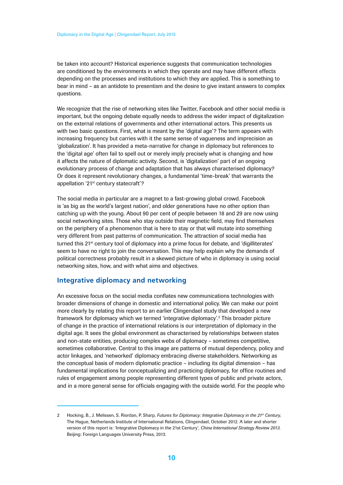<span id="page-9-0"></span>be taken into account? Historical experience suggests that communication technologies are conditioned by the environments in which they operate and may have different effects depending on the processes and institutions to which they are applied. This is something to bear in mind – as an antidote to presentism and the desire to give instant answers to complex questions.

We recognize that the rise of networking sites like Twitter, Facebook and other social media is important, but the ongoing debate equally needs to address the wider impact of digitalization on the external relations of governments and other international actors. This presents us with two basic questions. First, what is meant by the 'digital age'? The term appears with increasing frequency but carries with it the same sense of vagueness and imprecision as 'globalization'. It has provided a meta-narrative for change in diplomacy but references to the 'digital age' often fail to spell out or merely imply precisely what is changing and how it affects the nature of diplomatic activity. Second, is 'digitalization' part of an ongoing evolutionary process of change and adaptation that has always characterised diplomacy? Or does it represent revolutionary changes, a fundamental 'time-break' that warrants the appellation '21<sup>st</sup> century statecraft'?

The social media in particular are a magnet to a fast-growing global crowd. Facebook is 'as big as the world's largest nation', and older generations have no other option than catching up with the young. About 90 per cent of people between 18 and 29 are now using social networking sites. Those who stay outside their magnetic field, may find themselves on the periphery of a phenomenon that is here to stay or that will mutate into something very different from past patterns of communication. The attraction of social media has turned this 21<sup>st</sup> century tool of diplomacy into a prime focus for debate, and 'digilliterates' seem to have no right to join the conversation. This may help explain why the demands of political correctness probably result in a skewed picture of who in diplomacy is using social networking sites, how, and with what aims and objectives.

### **Integrative diplomacy and networking**

An excessive focus on the social media conflates new communications technologies with broader dimensions of change in domestic and international policy. We can make our point more clearly by relating this report to an earlier Clingendael study that developed a new framework for diplomacy which we termed 'integrative diplomacy'.2 This broader picture of change in the practice of international relations is our interpretation of diplomacy in the digital age. It sees the global environment as characterised by relationships between states and non-state entities, producing complex webs of diplomacy – sometimes competitive, sometimes collaborative. Central to this image are patterns of mutual dependency, policy and actor linkages, and 'networked' diplomacy embracing diverse stakeholders. Networking as the conceptual basis of modern diplomatic practice – including its digital dimension – has fundamental implications for conceptualizing and practicing diplomacy, for office routines and rules of engagement among people representing different types of public and private actors, and in a more general sense for officials engaging with the outside world. For the people who

<sup>2</sup> Hocking, B., J. Melissen, S. Riordan, P. Sharp, *Futures for Diplomacy: Integrative Diplomacy in the 21st Century*, The Hague, Netherlands Institute of International Relations, Clingendael, October 2012. A later and shorter version of this report is: 'Integrative Diplomacy in the 21st Century', *China International Strategy Review 2013*. Beijing: Foreign Languages University Press, 2013.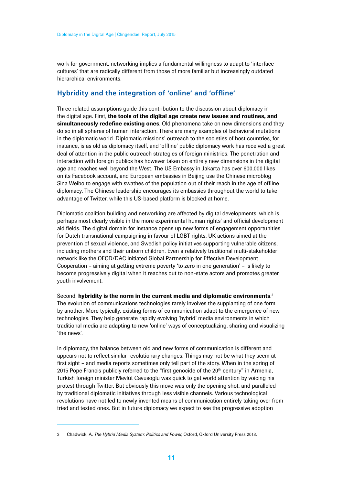<span id="page-10-0"></span>work for government, networking implies a fundamental willingness to adapt to 'interface cultures' that are radically different from those of more familiar but increasingly outdated hierarchical environments.

### **Hybridity and the integration of 'online' and 'offline'**

Three related assumptions guide this contribution to the discussion about diplomacy in the digital age. First, the tools of the digital age create new issues and routines, and simultaneously redefine existing ones. Old phenomena take on new dimensions and they do so in all spheres of human interaction. There are many examples of behavioral mutations in the diplomatic world. Diplomatic missions' outreach to the societies of host countries, for instance, is as old as diplomacy itself, and 'offline' public diplomacy work has received a great deal of attention in the public outreach strategies of foreign ministries. The penetration and interaction with foreign publics has however taken on entirely new dimensions in the digital age and reaches well beyond the West. The US Embassy in Jakarta has over 600,000 likes on its Facebook account, and European embassies in Beijing use the Chinese microblog Sina Weibo to engage with swathes of the population out of their reach in the age of offline diplomacy. The Chinese leadership encourages its embassies throughout the world to take advantage of Twitter, while this US-based platform is blocked at home.

Diplomatic coalition building and networking are affected by digital developments, which is perhaps most clearly visible in the more experimental human rights' and official development aid fields. The digital domain for instance opens up new forms of engagement opportunities for Dutch transnational campaigning in favour of LGBT rights, UK actions aimed at the prevention of sexual violence, and Swedish policy initiatives supporting vulnerable citizens, including mothers and their unborn children. Even a relatively traditional multi-stakeholder network like the OECD/DAC initiated Global Partnership for Effective Development Cooperation – aiming at getting extreme poverty 'to zero in one generation' – is likely to become progressively digital when it reaches out to non-state actors and promotes greater youth involvement.

Second, **hybridity is the norm in the current media and diplomatic environments.** $^3$ The evolution of communications technologies rarely involves the supplanting of one form by another. More typically, existing forms of communication adapt to the emergence of new technologies. They help generate rapidly evolving 'hybrid' media environments in which traditional media are adapting to new 'online' ways of conceptualizing, sharing and visualizing 'the news'.

In diplomacy, the balance between old and new forms of communication is different and appears not to reflect similar revolutionary changes. Things may not be what they seem at first sight – and media reports sometimes only tell part of the story. When in the spring of 2015 Pope Francis publicly referred to the "first genocide of the  $20<sup>th</sup>$  century" in Armenia, Turkish foreign minister Mevlüt Cavusoglu was quick to get world attention by voicing his protest through Twitter. But obviously this move was only the opening shot, and paralleled by traditional diplomatic initiatives through less visible channels. Various technological revolutions have not led to newly invented means of communication entirely taking over from tried and tested ones. But in future diplomacy we expect to see the progressive adoption

<sup>3</sup> Chadwick, A. *The Hybrid Media System: Politics and Power*, Oxford, Oxford University Press 2013.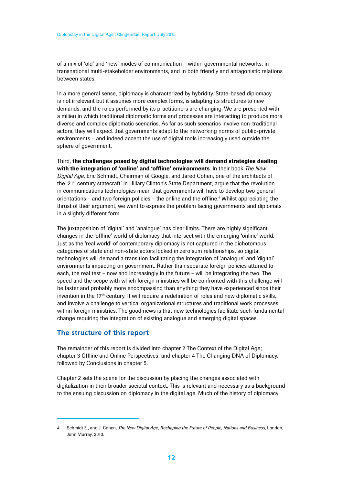<span id="page-11-0"></span>of a mix of 'old' and 'new' modes of communication – within governmental networks, in transnational multi-stakeholder environments, and in both friendly and antagonistic relations between states.

In a more general sense, diplomacy is characterized by hybridity. State-based diplomacy is not irrelevant but it assumes more complex forms, is adapting its structures to new demands, and the roles performed by its practitioners are changing. We are presented with a milieu in which traditional diplomatic forms and processes are interacting to produce more diverse and complex diplomatic scenarios. As far as such scenarios involve non-traditional actors, they will expect that governments adapt to the networking norms of public-private environments – and indeed accept the use of digital tools increasingly used outside the sphere of government.

Third, the challenges posed by digital technologies will demand strategies dealing with the integration of 'online' and 'offline' environments. In their book *The New Digital Age*, Eric Schmidt, Chairman of Google, and Jared Cohen, one of the architects of the '21<sup>st</sup> century statecraft' in Hillary Clinton's State Department, argue that the revolution in communications technologies mean that governments will have to develop two general orientations - and two foreign policies - the online and the offline.<sup>4</sup> Whilst appreciating the thrust of their argument, we want to express the problem facing governments and diplomats in a slightly different form.

The juxtaposition of 'digital' and 'analogue' has clear limits. There are highly significant changes in the 'offline' world of diplomacy that intersect with the emerging 'online' world. Just as the 'real world' of contemporary diplomacy is not captured in the dichotomous categories of state and non-state actors locked in zero sum relationships, so digital technologies will demand a transition facilitating the integration of 'analogue' and 'digital' environments impacting on government. Rather than separate foreign policies attuned to each, the real test – now and increasingly in the future – will be integrating the two. The speed and the scope with which foreign ministries will be confronted with this challenge will be faster and probably more encompassing than anything they have experienced since their invention in the 17<sup>th</sup> century. It will require a redefinition of roles and new diplomatic skills, and involve a challenge to vertical organizational structures and traditional work processes within foreign ministries. The good news is that new technologies facilitate such fundamental change requiring the integration of existing analogue and emerging digital spaces.

### **The structure of this report**

The remainder of this report is divided into chapter 2 The Context of the Digital Age; chapter 3 Offline and Online Perspectives; and chapter 4 The Changing DNA of Diplomacy, followed by Conclusions in chapter 5.

Chapter 2 sets the scene for the discussion by placing the changes associated with digitalization in their broader societal context. This is relevant and necessary as a background to the ensuing discussion on diplomacy in the digital age. Much of the history of diplomacy

<sup>4</sup> Schmidt E., and J. Cohen, *The New Digital Age, Reshaping the Future of People, Nations and Business*, London, John Murray, 2013.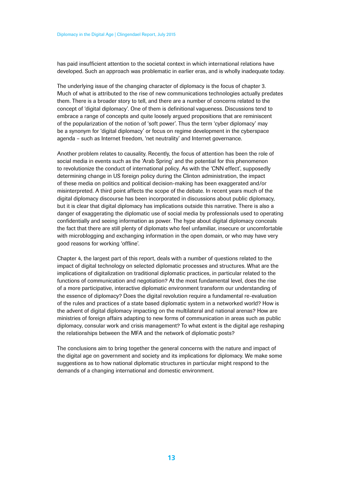has paid insufficient attention to the societal context in which international relations have developed. Such an approach was problematic in earlier eras, and is wholly inadequate today.

The underlying issue of the changing character of diplomacy is the focus of chapter 3. Much of what is attributed to the rise of new communications technologies actually predates them. There is a broader story to tell, and there are a number of concerns related to the concept of 'digital diplomacy'. One of them is definitional vagueness. Discussions tend to embrace a range of concepts and quite loosely argued propositions that are reminiscent of the popularization of the notion of 'soft power'. Thus the term 'cyber diplomacy' may be a synonym for 'digital diplomacy' or focus on regime development in the cyberspace agenda – such as Internet freedom, 'net neutrality' and Internet governance.

Another problem relates to causality. Recently, the focus of attention has been the role of social media in events such as the 'Arab Spring' and the potential for this phenomenon to revolutionize the conduct of international policy. As with the 'CNN effect', supposedly determining change in US foreign policy during the Clinton administration, the impact of these media on politics and political decision-making has been exaggerated and/or misinterpreted. A third point affects the scope of the debate. In recent years much of the digital diplomacy discourse has been incorporated in discussions about public diplomacy, but it is clear that digital diplomacy has implications outside this narrative. There is also a danger of exaggerating the diplomatic use of social media by professionals used to operating confidentially and seeing information as power. The hype about digital diplomacy conceals the fact that there are still plenty of diplomats who feel unfamiliar, insecure or uncomfortable with microblogging and exchanging information in the open domain, or who may have very good reasons for working 'offline'.

Chapter 4, the largest part of this report, deals with a number of questions related to the impact of digital technology on selected diplomatic processes and structures. What are the implications of digitalization on traditional diplomatic practices, in particular related to the functions of communication and negotiation? At the most fundamental level, does the rise of a more participative, interactive diplomatic environment transform our understanding of the essence of diplomacy? Does the digital revolution require a fundamental re-evaluation of the rules and practices of a state based diplomatic system in a networked world? How is the advent of digital diplomacy impacting on the multilateral and national arenas? How are ministries of foreign affairs adapting to new forms of communication in areas such as public diplomacy, consular work and crisis management? To what extent is the digital age reshaping the relationships between the MFA and the network of diplomatic posts?

The conclusions aim to bring together the general concerns with the nature and impact of the digital age on government and society and its implications for diplomacy. We make some suggestions as to how national diplomatic structures in particular might respond to the demands of a changing international and domestic environment.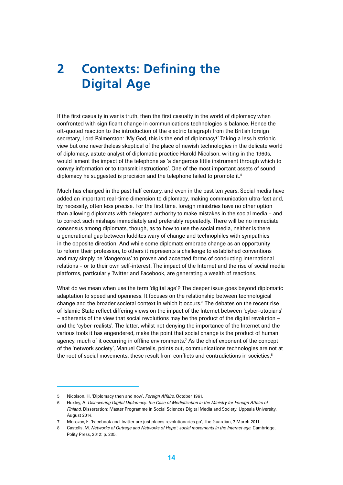# <span id="page-13-0"></span>**2 Contexts: Defining the Digital Age**

If the first casualty in war is truth, then the first casualty in the world of diplomacy when confronted with significant change in communications technologies is balance. Hence the oft-quoted reaction to the introduction of the electric telegraph from the British foreign secretary, Lord Palmerston: 'My God, this is the end of diplomacy!' Taking a less histrionic view but one nevertheless skeptical of the place of newish technologies in the delicate world of diplomacy, astute analyst of diplomatic practice Harold Nicolson, writing in the 1960s, would lament the impact of the telephone as 'a dangerous little instrument through which to convey information or to transmit instructions'. One of the most important assets of sound diplomacy he suggested is precision and the telephone failed to promote it.<sup>5</sup>

Much has changed in the past half century, and even in the past ten years. Social media have added an important real-time dimension to diplomacy, making communication ultra-fast and, by necessity, often less precise. For the first time, foreign ministries have no other option than allowing diplomats with delegated authority to make mistakes in the social media – and to correct such mishaps immediately and preferably repeatedly. There will be no immediate consensus among diplomats, though, as to how to use the social media, neither is there a generational gap between luddites wary of change and technophiles with sympathies in the opposite direction. And while some diplomats embrace change as an opportunity to reform their profession, to others it represents a challenge to established conventions and may simply be 'dangerous' to proven and accepted forms of conducting international relations – or to their own self-interest. The impact of the Internet and the rise of social media platforms, particularly Twitter and Facebook, are generating a wealth of reactions.

What do we mean when use the term 'digital age'? The deeper issue goes beyond diplomatic adaptation to speed and openness. It focuses on the relationship between technological change and the broader societal context in which it occurs.<sup>6</sup> The debates on the recent rise of Islamic State reflect differing views on the impact of the Internet between 'cyber-utopians' – adherents of the view that social revolutions may be the product of the digital revolution – and the 'cyber-realists'. The latter, whilst not denying the importance of the Internet and the various tools it has engendered, make the point that social change is the product of human agency, much of it occurring in offline environments.7 As the chief exponent of the concept of the 'network society', Manuel Castells, points out, communications technologies are not at the root of social movements, these result from conflicts and contradictions in societies.<sup>8</sup>

<sup>5</sup> Nicolson, H. 'Diplomacy then and now', *Foreign Affairs*, October 1961.

<sup>6</sup> Huxley, A. *Discovering Digital Diplomacy: the Case of Mediatization in the Ministry for Foreign Affairs of Finland*. Dissertation: Master Programme in Social Sciences Digital Media and Society, Uppsala University, August 2014.

<sup>7</sup> Morozov, E. 'Facebook and Twitter are just places revolutionaries go', The Guardian, 7 March 2011.

<sup>8</sup> Castells, M. *Networks of Outrage and Networks of Hope': social movements in the Internet age*, Cambridge, Polity Press, 2012: p. 235.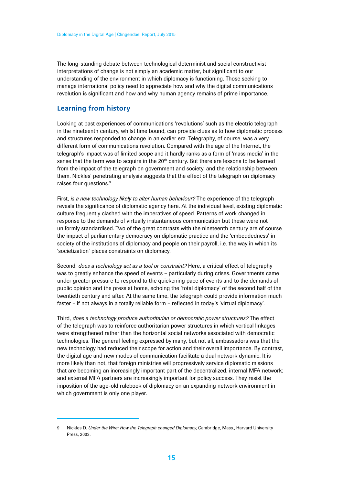<span id="page-14-0"></span>The long-standing debate between technological determinist and social constructivist interpretations of change is not simply an academic matter, but significant to our understanding of the environment in which diplomacy is functioning. Those seeking to manage international policy need to appreciate how and why the digital communications revolution is significant and how and why human agency remains of prime importance.

### **Learning from history**

Looking at past experiences of communications 'revolutions' such as the electric telegraph in the nineteenth century, whilst time bound, can provide clues as to how diplomatic process and structures responded to change in an earlier era. Telegraphy, of course, was a very different form of communications revolution. Compared with the age of the Internet, the telegraph's impact was of limited scope and it hardly ranks as a form of 'mass media' in the sense that the term was to acquire in the 20<sup>th</sup> century. But there are lessons to be learned from the impact of the telegraph on government and society, and the relationship between them. Nickles' penetrating analysis suggests that the effect of the telegraph on diplomacy raises four questions.<sup>9</sup>

First, *is a new technology likely to alter human behaviour?* The experience of the telegraph reveals the significance of diplomatic agency here. At the individual level, existing diplomatic culture frequently clashed with the imperatives of speed. Patterns of work changed in response to the demands of virtually instantaneous communication but these were not uniformly standardised. Two of the great contrasts with the nineteenth century are of course the impact of parliamentary democracy on diplomatic practice and the 'embeddedness' in society of the institutions of diplomacy and people on their payroll, i.e. the way in which its 'societization' places constraints on diplomacy.

Second, *does a technology act as a tool or constraint?* Here, a critical effect of telegraphy was to greatly enhance the speed of events – particularly during crises. Governments came under greater pressure to respond to the quickening pace of events and to the demands of public opinion and the press at home, echoing the 'total diplomacy' of the second half of the twentieth century and after. At the same time, the telegraph could provide information much faster – if not always in a totally reliable form – reflected in today's 'virtual diplomacy'.

Third, *does a technology produce authoritarian or democratic power structures?* The effect of the telegraph was to reinforce authoritarian power structures in which vertical linkages were strengthened rather than the horizontal social networks associated with democratic technologies. The general feeling expressed by many, but not all, ambassadors was that the new technology had reduced their scope for action and their overall importance. By contrast, the digital age and new modes of communication facilitate a dual network dynamic. It is more likely than not, that foreign ministries will progressively service diplomatic missions that are becoming an increasingly important part of the decentralized, internal MFA network; and external MFA partners are increasingly important for policy success. They resist the imposition of the age-old rulebook of diplomacy on an expanding network environment in which government is only one player.

<sup>9</sup> Nickles D. *Under the Wire: How the Telegraph changed Diplomacy*, Cambridge, Mass., Harvard University Press, 2003.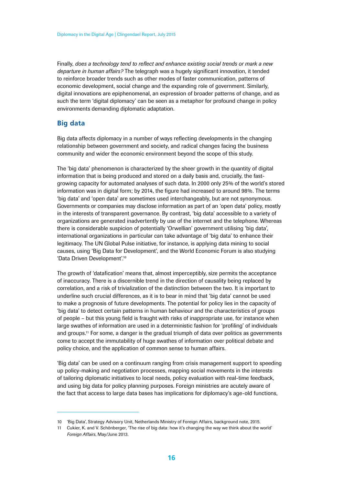<span id="page-15-0"></span>Finally, *does a technology tend to reflect and enhance existing social trends or mark a new departure in human affairs?* The telegraph was a hugely significant innovation, it tended to reinforce broader trends such as other modes of faster communication, patterns of economic development, social change and the expanding role of government. Similarly, digital innovations are epiphenomenal, an expression of broader patterns of change, and as such the term 'digital diplomacy' can be seen as a metaphor for profound change in policy environments demanding diplomatic adaptation.

# **Big data**

Big data affects diplomacy in a number of ways reflecting developments in the changing relationship between government and society, and radical changes facing the business community and wider the economic environment beyond the scope of this study.

The 'big data' phenomenon is characterized by the sheer growth in the quantity of digital information that is being produced and stored on a daily basis and, crucially, the fastgrowing capacity for automated analyses of such data. In 2000 only 25% of the world's stored information was in digital form; by 2014, the figure had increased to around 98%. The terms 'big data' and 'open data' are sometimes used interchangeably, but are not synonymous. Governments or companies may disclose information as part of an 'open data' policy, mostly in the interests of transparent governance. By contrast, 'big data' accessible to a variety of organizations are generated inadvertently by use of the internet and the telephone. Whereas there is considerable suspicion of potentially 'Orwellian' government utilising 'big data', international organizations in particular can take advantage of 'big data' to enhance their legitimacy. The UN Global Pulse initiative, for instance, is applying data mining to social causes, using 'Big Data for Development', and the World Economic Forum is also studying 'Data Driven Development'.10

The growth of 'datafication' means that, almost imperceptibly, size permits the acceptance of inaccuracy. There is a discernible trend in the direction of causality being replaced by correlation, and a risk of trivialization of the distinction between the two. It is important to underline such crucial differences, as it is to bear in mind that 'big data' cannot be used to make a prognosis of future developments. The potential for policy lies in the capacity of 'big data' to detect certain patterns in human behaviour and the characteristics of groups of people – but this young field is fraught with risks of inappropriate use, for instance when large swathes of information are used in a deterministic fashion for 'profiling' of individuals and groups.11 For some, a danger is the gradual triumph of data over politics as governments come to accept the immutability of huge swathes of information over political debate and policy choice, and the application of common sense to human affairs.

'Big data' can be used on a continuum ranging from crisis management support to speeding up policy-making and negotiation processes, mapping social movements in the interests of tailoring diplomatic initiatives to local needs, policy evaluation with real-time feedback, and using big data for policy planning purposes. Foreign ministries are acutely aware of the fact that access to large data bases has implications for diplomacy's age-old functions,

<sup>10</sup> 'Big Data', Strategy Advisory Unit, Netherlands Ministry of Foreign Affairs, background note, 2015.

<sup>11</sup> Cukier, K. and V. Schönberger, 'The rise of big data: how it's changing the way we think about the world' *Foreign Affairs*, May/June 2013.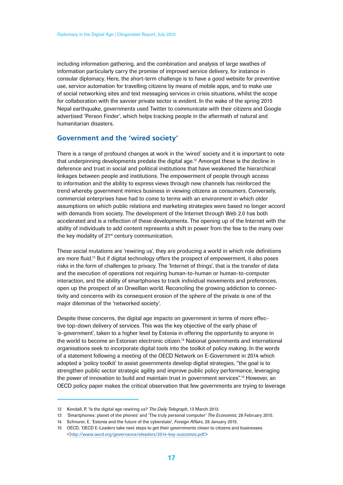<span id="page-16-0"></span>including information gathering, and the combination and analysis of large swathes of information particularly carry the promise of improved service delivery, for instance in consular diplomacy. Here, the short-term challenge is to have a good website for preventive use, service automation for travelling citizens by means of mobile apps, and to make use of social networking sites and text messaging services in crisis situations, whilst the scope for collaboration with the savvier private sector is evident. In the wake of the spring 2015 Nepal earthquake, governments used Twitter to communicate with their citizens and Google advertised 'Person Finder', which helps tracking people in the aftermath of natural and humanitarian disasters.

#### **Government and the 'wired society'**

There is a range of profound changes at work in the 'wired' society and it is important to note that underpinning developments predate the digital age.<sup>12</sup> Amongst these is the decline in deference and trust in social and political institutions that have weakened the hierarchical linkages between people and institutions. The empowerment of people through access to information and the ability to express views through new channels has reinforced the trend whereby government mimics business in viewing citizens as consumers. Conversely, commercial enterprises have had to come to terms with an environment in which older assumptions on which public relations and marketing strategies were based no longer accord with demands from society. The development of the Internet through Web 2.0 has both accelerated and is a reflection of these developments. The opening up of the Internet with the ability of individuals to add content represents a shift in power from the few to the many over the key modality of 21<sup>st</sup> century communication.

These social mutations are 'rewiring us', they are producing a world in which role definitions are more fluid.13 But if digital technology offers the prospect of empowerment, it also poses risks in the form of challenges to privacy. The 'Internet of things', that is the transfer of data and the execution of operations not requiring human-to-human or human-to-computer interaction, and the ability of smartphones to track individual movements and preferences, open up the prospect of an Orwellian world. Reconciling the growing addiction to connectivity and concerns with its consequent erosion of the sphere of the private is one of the major dilemmas of the 'networked society'.

Despite these concerns, the digital age impacts on government in terms of more effective top-down delivery of services. This was the key objective of the early phase of 'e-government', taken to a higher level by Estonia in offering the opportunity to anyone in the world to become an Estonian electronic citizen.<sup>14</sup> National governments and international organisations seek to incorporate digital tools into the toolkit of policy making. In the words of a statement following a meeting of the OECD Network on E-Government in 2014 which adopted a 'policy toolkit' to assist governments develop digital strategies, "the goal is to strengthen public sector strategic agility and improve public policy performance, leveraging the power of innovation to build and maintain trust in government services".<sup>15</sup> However, an OECD policy paper makes the critical observation that few governments are trying to leverage

<sup>12</sup> Kendall, P. 'Is the digital age rewiring us? *The Daily Telegraph*, 13 March 2013.

<sup>13</sup> 'Smartphones: planet of the phones' and 'The truly personal computer' *The Economist*, 28 February 2015.

<sup>14</sup> Schnurer, E. 'Estonia and the future of the cyberstate', *Foreign Affairs*, 28 January 2015.

<sup>15</sup> OECD, 'OECD E-Leaders take next steps to get their governments closer to citizens and businesses. <http://www.oecd.org/governance/eleaders/2014-key-outcomes.pdf>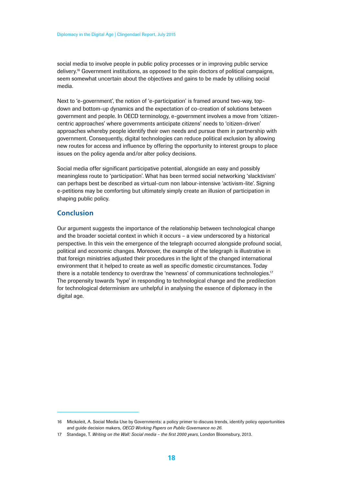<span id="page-17-0"></span>social media to involve people in public policy processes or in improving public service delivery.<sup>16</sup> Government institutions, as opposed to the spin doctors of political campaigns, seem somewhat uncertain about the objectives and gains to be made by utilising social media.

Next to 'e-government', the notion of 'e-participation' is framed around two-way, topdown and bottom-up dynamics and the expectation of co-creation of solutions between government and people. In OECD terminology, e-government involves a move from 'citizencentric approaches' where governments anticipate citizens' needs to 'citizen-driven' approaches whereby people identify their own needs and pursue them in partnership with government. Consequently, digital technologies can reduce political exclusion by allowing new routes for access and influence by offering the opportunity to interest groups to place issues on the policy agenda and/or alter policy decisions.

Social media offer significant participative potential, alongside an easy and possibly meaningless route to 'participation'. What has been termed social networking 'slacktivism' can perhaps best be described as virtual-cum non labour-intensive 'activism-lite'. Signing e-petitions may be comforting but ultimately simply create an illusion of participation in shaping public policy.

### **Conclusion**

Our argument suggests the importance of the relationship between technological change and the broader societal context in which it occurs – a view underscored by a historical perspective. In this vein the emergence of the telegraph occurred alongside profound social, political and economic changes. Moreover, the example of the telegraph is illustrative in that foreign ministries adjusted their procedures in the light of the changed international environment that it helped to create as well as specific domestic circumstances. Today there is a notable tendency to overdraw the 'newness' of communications technologies.<sup>17</sup> The propensity towards 'hype' in responding to technological change and the predilection for technological determinism are unhelpful in analysing the essence of diplomacy in the digital age.

<sup>16</sup> Mickoleit, A. Social Media Use by Governments: a policy primer to discuss trends, identify policy opportunities and guide decision makers, *OECD Working Papers on Public Governance no 26*.

<sup>17</sup> Standage, T. *Writing on the Wall: Social media – the first 2000 years*, London Bloomsbury, 2013.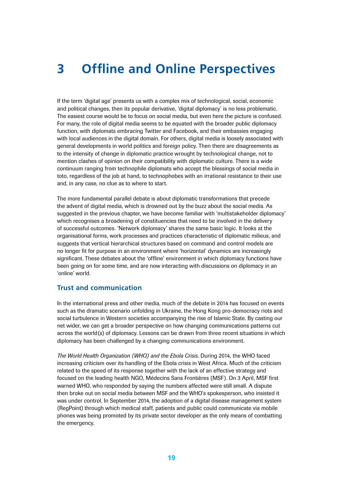# <span id="page-18-0"></span>**3 Offline and Online Perspectives**

If the term 'digital age' presents us with a complex mix of technological, social, economic and political changes, then its popular derivative, 'digital diplomacy' is no less problematic. The easiest course would be to focus on social media, but even here the picture is confused. For many, the role of digital media seems to be equated with the broader public diplomacy function, with diplomats embracing Twitter and Facebook, and their embassies engaging with local audiences in the digital domain. For others, digital media is loosely associated with general developments in world politics and foreign policy. Then there are disagreements as to the intensity of change in diplomatic practice wrought by technological change, not to mention clashes of opinion on their compatibility with diplomatic culture. There is a wide continuum ranging from technophile diplomats who accept the blessings of social media in toto, regardless of the job at hand, to technophobes with an irrational resistance to their use and, in any case, no clue as to where to start.

The more fundamental parallel debate is about diplomatic transformations that precede the advent of digital media, which is drowned out by the buzz about the social media. As suggested in the previous chapter, we have become familiar with 'multistakeholder diplomacy' which recognises a broadening of constituencies that need to be involved in the delivery of successful outcomes. 'Network diplomacy' shares the same basic logic. It looks at the organisational forms, work processes and practices characteristic of diplomatic milieus, and suggests that vertical hierarchical structures based on command and control models are no longer fit for purpose in an environment where 'horizontal' dynamics are increasingly significant. These debates about the 'offline' environment in which diplomacy functions have been going on for some time, and are now interacting with discussions on diplomacy in an 'online' world.

### **Trust and communication**

In the international press and other media, much of the debate in 2014 has focused on events such as the dramatic scenario unfolding in Ukraine, the Hong Kong pro-democracy riots and social turbulence in Western societies accompanying the rise of Islamic State. By casting our net wider, we can get a broader perspective on how changing communications patterns cut across the world(s) of diplomacy. Lessons can be drawn from three recent situations in which diplomacy has been challenged by a changing communications environment.

*The World Health Organization (WHO) and the Ebola Crisis.* During 2014, the WHO faced increasing criticism over its handling of the Ebola crisis in West Africa. Much of the criticism related to the speed of its response together with the lack of an effective strategy and focused on the leading health NGO, Médecins Sans Frontières (MSF). On 3 April, MSF first warned WHO, who responded by saying the numbers affected were still small. A dispute then broke out on social media between MSF and the WHO's spokesperson, who insisted it was under control. In September 2014, the adoption of a digital disease management system (RegPoint) through which medical staff, patients and public could communicate via mobile phones was being promoted by its private sector developer as the only means of combatting the emergency.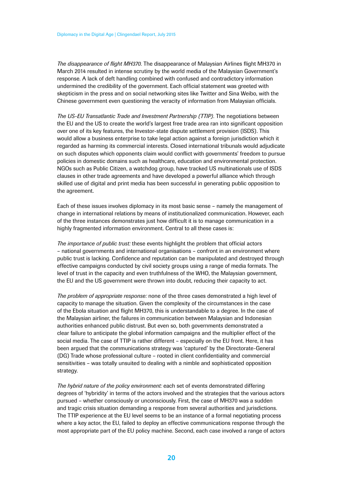*The disappearance of flight MH370.* The disappearance of Malaysian Airlines flight MH370 in March 2014 resulted in intense scrutiny by the world media of the Malaysian Government's response. A lack of deft handling combined with confused and contradictory information undermined the credibility of the government. Each official statement was greeted with skepticism in the press and on social networking sites like Twitter and Sina Weibo, with the Chinese government even questioning the veracity of information from Malaysian officials.

*The US-EU Transatlantic Trade and Investment Partnership (TTIP).* The negotiations between the EU and the US to create the world's largest free trade area ran into significant opposition over one of its key features, the Investor-state dispute settlement provision (ISDS). This would allow a business enterprise to take legal action against a foreign jurisdiction which it regarded as harming its commercial interests. Closed international tribunals would adjudicate on such disputes which opponents claim would conflict with governments' freedom to pursue policies in domestic domains such as healthcare, education and environmental protection. NGOs such as Public Citizen, a watchdog group, have tracked US multinationals use of ISDS clauses in other trade agreements and have developed a powerful alliance which through skilled use of digital and print media has been successful in generating public opposition to the agreement.

Each of these issues involves diplomacy in its most basic sense – namely the management of change in international relations by means of institutionalized communication. However, each of the three instances demonstrates just how difficult it is to manage communication in a highly fragmented information environment. Central to all these cases is:

*The importance of public trust:* these events highlight the problem that official actors – national governments and international organisations – confront in an environment where public trust is lacking. Confidence and reputation can be manipulated and destroyed through effective campaigns conducted by civil society groups using a range of media formats. The level of trust in the capacity and even truthfulness of the WHO, the Malaysian government, the EU and the US government were thrown into doubt, reducing their capacity to act.

*The problem of appropriate response:* none of the three cases demonstrated a high level of capacity to manage the situation. Given the complexity of the circumstances in the case of the Ebola situation and flight MH370, this is understandable to a degree. In the case of the Malaysian airliner, the failures in communication between Malaysian and Indonesian authorities enhanced public distrust. But even so, both governments demonstrated a clear failure to anticipate the global information campaigns and the multiplier effect of the social media. The case of TTIP is rather different – especially on the EU front. Here, it has been argued that the communications strategy was 'captured' by the Directorate-General (DG) Trade whose professional culture – rooted in client confidentiality and commercial sensitivities – was totally unsuited to dealing with a nimble and sophisticated opposition strategy.

*The hybrid nature of the policy environment:* each set of events demonstrated differing degrees of 'hybridity' in terms of the actors involved and the strategies that the various actors pursued – whether consciously or unconsciously. First, the case of MH370 was a sudden and tragic crisis situation demanding a response from several authorities and jurisdictions. The TTIP experience at the EU level seems to be an instance of a formal negotiating process where a key actor, the EU, failed to deploy an effective communications response through the most appropriate part of the EU policy machine. Second, each case involved a range of actors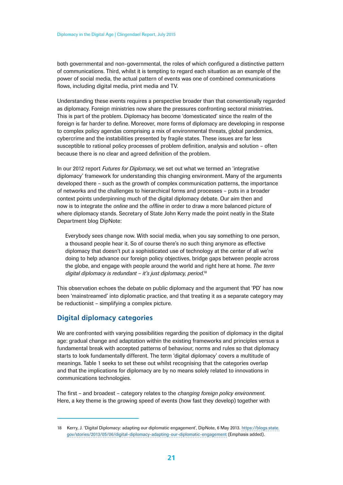<span id="page-20-0"></span>both governmental and non-governmental, the roles of which configured a distinctive pattern of communications. Third, whilst it is tempting to regard each situation as an example of the power of social media, the actual pattern of events was one of combined communications flows, including digital media, print media and TV.

Understanding these events requires a perspective broader than that conventionally regarded as diplomacy. Foreign ministries now share the pressures confronting sectoral ministries. This is part of the problem. Diplomacy has become 'domesticated' since the realm of the foreign is far harder to define. Moreover, more forms of diplomacy are developing in response to complex policy agendas comprising a mix of environmental threats, global pandemics, cybercrime and the instabilities presented by fragile states. These issues are far less susceptible to rational policy processes of problem definition, analysis and solution – often because there is no clear and agreed definition of the problem.

In our 2012 report *Futures for Diplomacy*, we set out what we termed an 'integrative diplomacy' framework for understanding this changing environment. Many of the arguments developed there – such as the growth of complex communication patterns, the importance of networks and the challenges to hierarchical forms and processes – puts in a broader context points underpinning much of the digital diplomacy debate. Our aim then and now is to integrate the *online* and the *offline* in order to draw a more balanced picture of where diplomacy stands. Secretary of State John Kerry made the point neatly in the State Department blog DipNote:

Everybody sees change now. With social media, when you say something to one person, a thousand people hear it. So of course there's no such thing anymore as effective diplomacy that doesn't put a sophisticated use of technology at the center of all we're doing to help advance our foreign policy objectives, bridge gaps between people across the globe, and engage with people around the world and right here at home. *The term digital diplomacy is redundant – it's just diplomacy, period*. 18

This observation echoes the debate on public diplomacy and the argument that 'PD' has now been 'mainstreamed' into diplomatic practice, and that treating it as a separate category may be reductionist – simplifying a complex picture.

# **Digital diplomacy categories**

We are confronted with varying possibilities regarding the position of diplomacy in the digital age: gradual change and adaptation within the existing frameworks and principles versus a fundamental break with accepted patterns of behaviour, norms and rules so that diplomacy starts to look fundamentally different. The term 'digital diplomacy' covers a multitude of meanings. Table 1 seeks to set these out whilst recognising that the categories overlap and that the implications for diplomacy are by no means solely related to innovations in communications technologies.

The first – and broadest – category relates to the *changing foreign policy environment*. Here, a key theme is the growing speed of events (how fast they develop) together with

<sup>18</sup> Kerry, J. 'Digital Diplomacy: adapting our diplomatic engagement', DipNote, 6 May 2013. [https://blogs.state.](https://blogs.state.gov/stories/2013/05/06/digital-diplomacy-adapting-our-diplomatic-engagement) [gov/stories/2013/05/06/digital-diplomacy-adapting-our-diplomatic-engagement](https://blogs.state.gov/stories/2013/05/06/digital-diplomacy-adapting-our-diplomatic-engagement) (Emphasis added).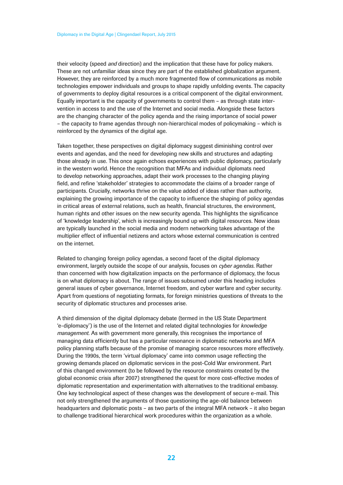their velocity (speed *and* direction) and the implication that these have for policy makers. These are not unfamiliar ideas since they are part of the established globalization argument. However, they are reinforced by a much more fragmented flow of communications as mobile technologies empower individuals and groups to shape rapidly unfolding events. The capacity of governments to deploy digital resources is a critical component of the digital environment. Equally important is the capacity of governments to control them – as through state intervention in access to and the use of the Internet and social media. Alongside these factors are the changing character of the policy agenda and the rising importance of social power – the capacity to frame agendas through non-hierarchical modes of policymaking – which is reinforced by the dynamics of the digital age.

Taken together, these perspectives on digital diplomacy suggest diminishing control over events and agendas, and the need for developing new skills and structures and adapting those already in use. This once again echoes experiences with public diplomacy, particularly in the western world. Hence the recognition that MFAs and individual diplomats need to develop networking approaches, adapt their work processes to the changing playing field, and refine 'stakeholder' strategies to accommodate the claims of a broader range of participants. Crucially, networks thrive on the value added of ideas rather than authority, explaining the growing importance of the capacity to influence the shaping of policy agendas in critical areas of external relations, such as health, financial structures, the environment, human rights and other issues on the new security agenda. This highlights the significance of 'knowledge leadership', which is increasingly bound up with digital resources. New ideas are typically launched in the social media and modern networking takes advantage of the multiplier effect of influential netizens and actors whose external communication is centred on the internet.

Related to changing foreign policy agendas, a second facet of the digital diplomacy environment, largely outside the scope of our analysis, focuses on *cyber agendas*. Rather than concerned with how digitalization impacts on the performance of diplomacy, the focus is on what diplomacy is about. The range of issues subsumed under this heading includes general issues of cyber governance, Internet freedom, and cyber warfare and cyber security. Apart from questions of negotiating formats, for foreign ministries questions of threats to the security of diplomatic structures and processes arise.

A third dimension of the digital diplomacy debate (termed in the US State Department 'e-diplomacy') is the use of the Internet and related digital technologies for *knowledge management*. As with government more generally, this recognises the importance of managing data efficiently but has a particular resonance in diplomatic networks and MFA policy planning staffs because of the promise of managing scarce resources more effectively. During the 1990s, the term 'virtual diplomacy' came into common usage reflecting the growing demands placed on diplomatic services in the post-Cold War environment. Part of this changed environment (to be followed by the resource constraints created by the global economic crisis after 2007) strengthened the quest for more cost-effective modes of diplomatic representation and experimentation with alternatives to the traditional embassy. One key technological aspect of these changes was the development of secure e-mail. This not only strengthened the arguments of those questioning the age-old balance between headquarters and diplomatic posts – as two parts of the integral MFA network – it also began to challenge traditional hierarchical work procedures within the organization as a whole.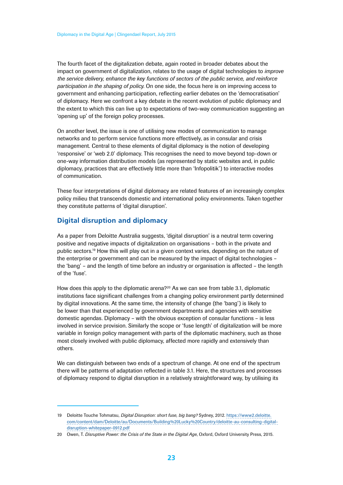<span id="page-22-0"></span>The fourth facet of the digitalization debate, again rooted in broader debates about the impact on government of digitalization, relates to the usage of digital technologies to *improve the service delivery, enhance the key functions of sectors of the public service, and reinforce participation in the shaping of policy*. On one side, the focus here is on improving access to government and enhancing participation, reflecting earlier debates on the 'democratisation' of diplomacy. Here we confront a key debate in the recent evolution of public diplomacy and the extent to which this can live up to expectations of two-way communication suggesting an 'opening up' of the foreign policy processes.

On another level, the issue is one of utilising new modes of communication to manage networks and to perform service functions more effectively, as in consular and crisis management. Central to these elements of digital diplomacy is the notion of developing 'responsive' or 'web 2.0' diplomacy. This recognises the need to move beyond top-down or one-way information distribution models (as represented by static websites and, in public diplomacy, practices that are effectively little more than 'Infopolitik') to interactive modes of communication.

These four interpretations of digital diplomacy are related features of an increasingly complex policy milieu that transcends domestic and international policy environments. Taken together they constitute patterns of 'digital disruption'.

### **Digital disruption and diplomacy**

As a paper from Deloitte Australia suggests, 'digital disruption' is a neutral term covering positive and negative impacts of digitalization on organisations – both in the private and public sectors.19 How this will play out in a given context varies, depending on the nature of the enterprise or government and can be measured by the impact of digital technologies – the 'bang' – and the length of time before an industry or organisation is affected – the length of the 'fuse'.

How does this apply to the diplomatic arena?20 As we can see from table 3.1, diplomatic institutions face significant challenges from a changing policy environment partly determined by digital innovations. At the same time, the intensity of change (the 'bang') is likely to be lower than that experienced by government departments and agencies with sensitive domestic agendas. Diplomacy – with the obvious exception of consular functions – is less involved in service provision. Similarly the scope or 'fuse length' of digitalization will be more variable in foreign policy management with parts of the diplomatic machinery, such as those most closely involved with public diplomacy, affected more rapidly and extensively than others.

We can distinguish between two ends of a spectrum of change. At one end of the spectrum there will be patterns of adaptation reflected in table 3.1. Here, the structures and processes of diplomacy respond to digital disruption in a relatively straightforward way, by utilising its

<sup>19</sup> Deloitte Touche Tohmatsu, *Digital Disruption: short fuse, big bang?* Sydney, 2012. https://www2.deloitte. com/content/dam/Deloitte/au/Documents/Building%20Lucky%20Country/deloitte-au-consulting-digitaldisruption-whitepaper-0912.pdf

<sup>20</sup> Owen, T. *Disruptive Power: the Crisis of the State in the Digital Age*, Oxford, Oxford University Press, 2015.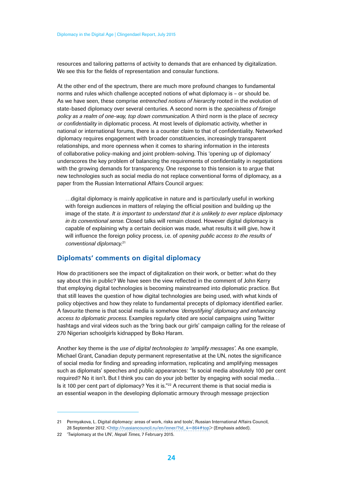<span id="page-23-0"></span>resources and tailoring patterns of activity to demands that are enhanced by digitalization. We see this for the fields of representation and consular functions.

At the other end of the spectrum, there are much more profound changes to fundamental norms and rules which challenge accepted notions of what diplomacy is – or should be. As we have seen, these comprise *entrenched notions of hierarchy* rooted in the evolution of state-based diplomacy over several centuries. A second norm is the *specialness of foreign policy as a realm of one-way, top down communication*. A third norm is the place of *secrecy or confidentiality* in diplomatic process. At most levels of diplomatic activity, whether in national or international forums, there is a counter claim to that of confidentiality. Networked diplomacy requires engagement with broader constituencies, increasingly transparent relationships, and more openness when it comes to sharing information in the interests of collaborative policy-making and joint problem-solving. This 'opening up of diplomacy' underscores the key problem of balancing the requirements of confidentiality in negotiations with the growing demands for transparency. One response to this tension is to argue that new technologies such as social media do not replace conventional forms of diplomacy, as a paper from the Russian International Affairs Council argues:

…digital diplomacy is mainly applicative in nature and is particularly useful in working with foreign audiences in matters of relaying the official position and building up the image of the state. *It is important to understand that it is unlikely to ever replace diplomacy in its conventional sense*. Closed talks will remain closed. However digital diplomacy is capable of explaining why a certain decision was made, what results it will give, how it will influence the foreign policy process, i.e. of *opening public access to the results of conventional diplomacy*. 21

### **Diplomats' comments on digital diplomacy**

How do practitioners see the impact of digitalization on their work, or better: what do they say about this in public? We have seen the view reflected in the comment of John Kerry that employing digital technologies is becoming mainstreamed into diplomatic practice. But that still leaves the question of how digital technologies are being used, with what kinds of policy objectives and how they relate to fundamental precepts of diplomacy identified earlier. A favourite theme is that social media is somehow *'demystifying' diplomacy and enhancing access to diplomatic process*. Examples regularly cited are social campaigns using Twitter hashtags and viral videos such as the 'bring back our girls' campaign calling for the release of 270 Nigerian schoolgirls kidnapped by Boko Haram.

Another key theme is the *use of digital technologies to 'amplify messages'*. As one example, Michael Grant, Canadian deputy permanent representative at the UN, notes the significance of social media for finding and spreading information, replicating and amplifying messages such as diplomats' speeches and public appearances: "Is social media absolutely 100 per cent required? No it isn't. But I think you can do your job better by engaging with social media… Is it 100 per cent part of diplomacy? Yes it is."<sup>22</sup> A recurrent theme is that social media is an essential weapon in the developing diplomatic armoury through message projection

<sup>21</sup> Permyakova, L. Digital diplomacy: areas of work, risks and tools', Russian International Affairs Council, 28 September 2012. <[http://russiancouncil.ru/en/inner/?id\\_4=864#top](http://russiancouncil.ru/en/inner/?id_4=864#top)> (Emphasis added).

<sup>22</sup> 'Twiplomacy at the UN', *Nepali Times*, 7 February 2015.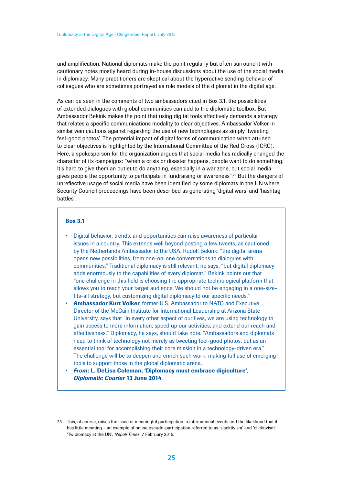and amplification. National diplomats make the point regularly but often surround it with cautionary notes mostly heard during in-house discussions about the use of the social media in diplomacy. Many practitioners are skeptical about the hyperactive sending behavior of colleagues who are sometimes portrayed as role models of the diplomat in the digital age.

As can be seen in the comments of two ambassadors cited in Box 3.1, the possibilities of extended dialogues with global communities can add to the diplomatic toolbox. But Ambassador Bekink makes the point that using digital tools effectively demands a strategy that relates a specific communications modality to clear objectives. Ambassador Volker in similar vein cautions against regarding the use of new technologies as simply 'tweeting feel-good photos'. The potential impact of digital forms of communication when attuned to clear objectives is highlighted by the International Committee of the Red Cross (ICRC). Here, a spokesperson for the organization argues that social media has radically changed the character of its campaigns: "when a crisis or disaster happens, people want to do something. It's hard to give them an outlet to do anything, especially in a war zone, but social media gives people the opportunity to participate in fundraising or awareness".23 But the dangers of unreflective usage of social media have been identified by some diplomats in the UN where Security Council proceedings have been described as generating 'digital wars' and 'hashtag battles'.

#### Box 3.1

- Digital behavior, trends, and opportunities can raise awareness of particular issues in a country. This extends well beyond posting a few tweets, as cautioned by the Netherlands Ambassador to the USA, Rudolf Bekink: "the digital arena opens new possibilities, from one-on-one conversations to dialogues with communities." Traditional diplomacy is still relevant, he says, "but digital diplomacy adds enormously to the capabilities of every diplomat." Bekink points out that "one challenge in this field is choosing the appropriate technological platform that allows you to reach your target audience. We should not be engaging in a one-sizefits-all strategy, but customizing digital diplomacy to our specific needs."
- Ambassador Kurt Volker, former U.S. Ambassador to NATO and Executive Director of the McCain Institute for International Leadership at Arizona State University, says that "in every other aspect of our lives, we are using technology to gain access to more information, speed up our activities, and extend our reach and effectiveness." Diplomacy, he says, should take note. "Ambassadors and diplomats need to think of technology not merely as tweeting feel-good photos, but as an essential tool for accomplishing their core mission in a technology-driven era." The challenge will be to deepen and enrich such work, making full use of emerging tools to support those in the global diplomatic arena.
- *From:* L. DeLisa Coleman, 'Diplomacy must embrace digiculture', *Diplomatic Courier* 13 June 2014.

<sup>23</sup> This, of course, raises the issue of meaningful participation in international events and the likelihood that it has little meaning – an example of online pseudo-participation referred to as 'slacktivism' and 'clicktivism'. 'Twiplomacy at the UN', *Nepali Times*, 7 February 2015.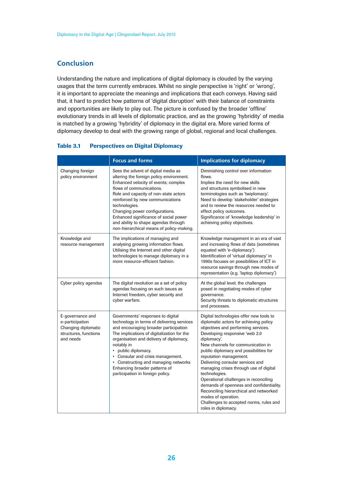# <span id="page-25-0"></span>**Conclusion**

Understanding the nature and implications of digital diplomacy is clouded by the varying usages that the term currently embraces. Whilst no single perspective is 'right' or 'wrong', it is important to appreciate the meanings and implications that each conveys. Having said that, it hard to predict how patterns of 'digital disruption' with their balance of constraints and opportunities are likely to play out. The picture is confused by the broader 'offline' evolutionary trends in all levels of diplomatic practice, and as the growing 'hybridity' of media is matched by a growing 'hybridity' of diplomacy in the digital era. More varied forms of diplomacy develop to deal with the growing range of global, regional and local challenges.

|                                                                                                  | <b>Focus and forms</b>                                                                                                                                                                                                                                                                                                                                                                                            | <b>Implications for diplomacy</b>                                                                                                                                                                                                                                                                                                                                                                                                                                                                                                                                                                        |
|--------------------------------------------------------------------------------------------------|-------------------------------------------------------------------------------------------------------------------------------------------------------------------------------------------------------------------------------------------------------------------------------------------------------------------------------------------------------------------------------------------------------------------|----------------------------------------------------------------------------------------------------------------------------------------------------------------------------------------------------------------------------------------------------------------------------------------------------------------------------------------------------------------------------------------------------------------------------------------------------------------------------------------------------------------------------------------------------------------------------------------------------------|
| Changing foreign<br>policy environment                                                           | Sees the advent of digital media as<br>altering the foreign policy environment.<br>Enhanced velocity of events; complex<br>flows of communications.<br>Role and capacity of non-state actors<br>reinforced by new communications<br>technologies.<br>Changing power configurations.<br>Enhanced significance of social power<br>and ability to shape agendas through<br>non-hierarchical means of policy-making.  | Diminishing control over information<br>flows.<br>Implies the need for new skills<br>and structures symbolised in new<br>terminologies such as 'twiplomacy'.<br>Need to develop 'stakeholder' strategies<br>and to review the resources needed to<br>effect policy outcomes.<br>Significance of 'knowledge leadership' in<br>achieving policy objectives.                                                                                                                                                                                                                                                |
| Knowledge and<br>resource management                                                             | The implications of managing and<br>analysing growing information flows.<br>Utilising the Internet and other digital<br>technologies to manage diplomacy in a<br>more resource-efficient fashion.                                                                                                                                                                                                                 | Knowledge management in an era of vast<br>and increasing flows of data (sometimes<br>equated with 'e-diplomacy')<br>Identification of 'virtual diplomacy' in<br>1990s focuses on possibilities of ICT in<br>resource savings through new modes of<br>representation (e.g. 'laptop diplomacy')                                                                                                                                                                                                                                                                                                            |
| Cyber policy agendas                                                                             | The digital revolution as a set of policy<br>agendas focusing on such issues as<br>Internet freedom, cyber security and<br>cyber warfare.                                                                                                                                                                                                                                                                         | At the global level, the challenges<br>posed in negotiating modes of cyber<br>governance.<br>Security threats to diplomatic structures<br>and processes.                                                                                                                                                                                                                                                                                                                                                                                                                                                 |
| E-governance and<br>e-participation<br>Changing diplomatic<br>structures, functions<br>and needs | Governments' responses to digital<br>technology in terms of delivering services<br>and encouraging broader participation<br>The implications of digitalization for the<br>organisation and delivery of diplomacy,<br>notably in<br>public diplomacy.<br>$\bullet$<br>• Consular and crisis management.<br>Constructing and managing networks<br>Enhancing broader patterns of<br>participation in foreign policy. | Digital technologies offer new tools to<br>diplomatic actors for achieving policy<br>objectives and performing services.<br>Developing responsive 'web 2.0<br>diplomacy.<br>New channels for communication in<br>public diplomacy and possibilities for<br>reputation management.<br>Delivering consular services and<br>managing crises through use of digital<br>technologies.<br>Operational challenges in reconciling<br>demands of openness and confidentiality.<br>Reconciling hierarchical and networked<br>modes of operation.<br>Challenges to accepted norms, rules and<br>roles in diplomacy. |

#### Table 3.1 Perspectives on Digital Diplomacy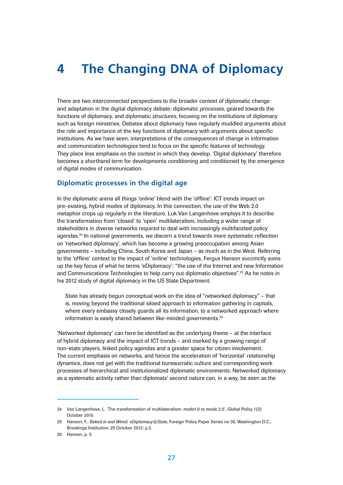# <span id="page-26-0"></span>**4 The Changing DNA of Diplomacy**

There are two interconnected perspectives to the broader context of diplomatic change and adaptation in the digital diplomacy debate: diplomatic *processes*, geared towards the functions of diplomacy, and diplomatic *structures*, focusing on the institutions of diplomacy such as foreign ministries. Debates about diplomacy have regularly muddled arguments about the role and importance of the key functions of diplomacy with arguments about specific institutions. As we have seen, interpretations of the *consequences* of change in information and communication technologies tend to focus on the specific features of technology. They place less emphasis on the context in which they develop. 'Digital diplomacy' therefore becomes a shorthand term for developments conditioning and conditioned by the emergence of digital modes of communication.

### **Diplomatic processes in the digital age**

In the diplomatic arena all things 'online' blend with the 'offline': ICT trends impact on pre-existing, hybrid modes of diplomacy. In this connection, the use of the Web 2.0 metaphor crops up regularly in the literature. Luk Van Langenhove employs it to describe the transformation from 'closed' to 'open' multilateralism, including a wider range of stakeholders in diverse networks required to deal with increasingly multifaceted policy agendas.24 In national governments, we discern a trend towards more systematic reflection on 'networked diplomacy', which has become a growing preoccupation among Asian governments – including China, South Korea and Japan – as much as in the West. Referring to the 'offline' context to the impact of 'online' technologies, Fergus Hanson succinctly sums up the key focus of what he terms 'eDiplomacy': "the use of the Internet and new Information and Communications Technologies to help carry out diplomatic objectives".25 As he notes in his 2012 study of digital diplomacy in the US State Department:

State has already begun conceptual work on the idea of "networked diplomacy" – that is, moving beyond the traditional siloed approach to information gathering in capitals, where every embassy closely guards all its information, to a networked approach where information is easily shared between like-minded governments.<sup>26</sup>

'Networked diplomacy' can here be identified as the underlying theme – at the interface of hybrid diplomacy and the impact of ICT trends – and marked by a growing range of non-state players, linked policy agendas and a greater space for citizen involvement. The current emphasis on networks, and hence the acceleration of 'horizontal' relationship dynamics, does not gel with the traditional bureaucratic culture and corresponding work processes of hierarchical and institutionalized diplomatic environments. Networked diplomacy as a systematic activity rather than diplomats' second nature can, in a way, be seen as the

<sup>24</sup> Van Langenhove, L. 'The transformation of multilateralism: mode1.0 to mode 2.0', *Global Policy* 1(3) October 2010.

<sup>25</sup> Hanson, F., *Baked in and Wired: eDiplomacy@State*, Foreign Policy Paper Series no 30, Washington D.C., Brookings Institution, 25 October 2012: p.2.

<sup>26</sup> Hanson, p. 5.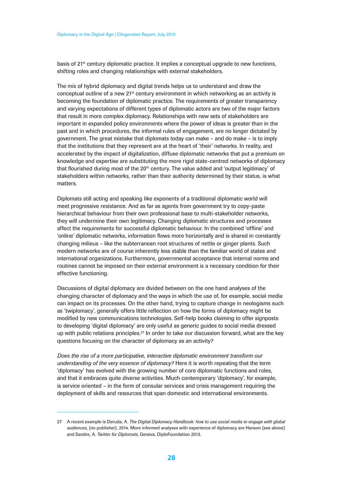basis of 21<sup>st</sup> century diplomatic practice. It implies a conceptual upgrade to new functions, shifting roles and changing relationships with external stakeholders.

The mix of hybrid diplomacy and digital trends helps us to understand and draw the conceptual outline of a new 21st century environment in which networking as an activity is becoming the foundation of diplomatic practice. The requirements of greater transparency and varying expectations of different types of diplomatic actors are two of the major factors that result in more complex diplomacy. Relationships with new sets of stakeholders are important in expanded policy environments where the power of ideas is greater than in the past and in which procedures, the informal rules of engagement, are no longer dictated by government. The great mistake that diplomats today can make – and do make – is to imply that the institutions that they represent are at the heart of 'their' networks. In reality, and accelerated by the impact of digitalization, diffuse diplomatic networks that put a premium on knowledge and expertise are substituting the more rigid state-centred networks of diplomacy that flourished during most of the 20<sup>th</sup> century. The value added and 'output legitimacy' of stakeholders within networks, rather than their authority determined by their status, is what matters.

Diplomats still acting and speaking like exponents of a traditional diplomatic world will meet progressive resistance. And as far as agents from government try to copy-paste hierarchical behaviour from their own professional base to multi-stakeholder networks, they will undermine their own legitimacy. Changing diplomatic structures and processes affect the requirements for successful diplomatic behaviour. In the combined 'offline' and 'online' diplomatic networks, information flows more horizontally and is shared in constantly changing milieus – like the subterranean root structures of nettle or ginger plants. Such modern networks are of course inherently less stable than the familiar world of states and international organizations. Furthermore, governmental acceptance that internal norms and routines cannot be imposed on their external environment is a necessary condition for their effective functioning.

Discussions of digital diplomacy are divided between on the one hand analyses of the changing character of diplomacy and the ways in which the use of, for example, social media can impact on its processes. On the other hand, trying to capture change in neologisms such as 'twiplomacy', generally offers little reflection on how the forms of diplomacy might be modified by new communications technologies. Self-help books claiming to offer signposts to developing 'digital diplomacy' are only useful as generic guides to social media dressed up with public relations principles.27 In order to take our discussion forward, what are the key questions focusing on the character of diplomacy as an activity?

*Does the rise of a more participative, interactive diplomatic environment transform our understanding of the very essence of diplomacy?* Here it is worth repeating that the term 'diplomacy' has evolved with the growing number of core diplomatic functions and roles, and that it embraces quite diverse activities. Much contemporary 'diplomacy', for example, is service oriented – in the form of consular services and crisis management requiring the deployment of skills and resources that span domestic and international environments.

<sup>27</sup> A recent example is Deruda, A. *The Digital Diplomacy Handbook: how to use social media to engage with global audiences*, (no publisher), 2014. More informed analyses with experience of diplomacy are Hanson (see above) and Sandre, A. *Twitter for Diplomats*, Geneva, DiploFoundation 2013.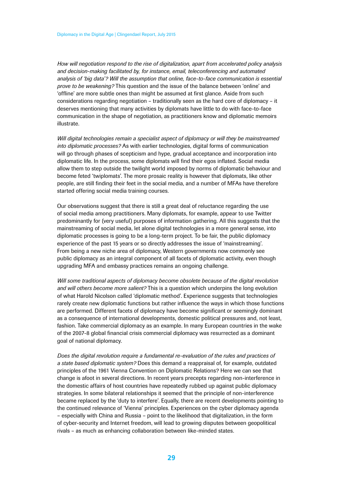*How will negotiation respond to the rise of digitalization, apart from accelerated policy analysis and decision-making facilitated by, for instance, email, teleconferencing and automated analysis of 'big data'? Will the assumption that online, face-to-face communication is essential prove to be weakening?* This question and the issue of the balance between 'online' and 'offline' are more subtle ones than might be assumed at first glance. Aside from such considerations regarding negotiation – traditionally seen as the hard core of diplomacy – it deserves mentioning that many activities by diplomats have little to do with face-to-face communication in the shape of negotiation, as practitioners know and diplomatic memoirs illustrate.

*Will digital technologies remain a specialist aspect of diplomacy or will they be mainstreamed into diplomatic processes?* As with earlier technologies, digital forms of communication will go through phases of scepticism and hype, gradual acceptance and incorporation into diplomatic life. In the process, some diplomats will find their egos inflated. Social media allow them to step outside the twilight world imposed by norms of diplomatic behaviour and become feted 'twiplomats'. The more prosaic reality is however that diplomats, like other people, are still finding their feet in the social media, and a number of MFAs have therefore started offering social media training courses.

Our observations suggest that there is still a great deal of reluctance regarding the use of social media among practitioners. Many diplomats, for example, appear to use Twitter predominantly for (very useful) purposes of information gathering. All this suggests that the mainstreaming of social media, let alone digital technologies in a more general sense, into diplomatic processes is going to be a long-term project. To be fair, the public diplomacy experience of the past 15 years or so directly addresses the issue of 'mainstreaming'. From being a new niche area of diplomacy, Western governments now commonly see public diplomacy as an integral component of all facets of diplomatic activity, even though upgrading MFA and embassy practices remains an ongoing challenge.

*Will some traditional aspects of diplomacy become obsolete because of the digital revolution and will others become more salient?* This is a question which underpins the long evolution of what Harold Nicolson called 'diplomatic method'. Experience suggests that technologies rarely create new diplomatic functions but rather influence the ways in which those functions are performed. Different facets of diplomacy have become significant or seemingly dominant as a consequence of international developments, domestic political pressures and, not least, fashion. Take commercial diplomacy as an example. In many European countries in the wake of the 2007-8 global financial crisis commercial diplomacy was resurrected as a dominant goal of national diplomacy.

*Does the digital revolution require a fundamental re-evaluation of the rules and practices of a state based diplomatic system?* Does this demand a reappraisal of, for example, outdated principles of the 1961 Vienna Convention on Diplomatic Relations? Here we can see that change is afoot in several directions. In recent years precepts regarding non-interference in the domestic affairs of host countries have repeatedly rubbed up against public diplomacy strategies. In some bilateral relationships it seemed that the principle of non-interference became replaced by the 'duty to interfere'. Equally, there are recent developments pointing to the continued relevance of 'Vienna' principles. Experiences on the cyber diplomacy agenda – especially with China and Russia – point to the likelihood that digitalization, in the form of cyber-security and Internet freedom, will lead to growing disputes between geopolitical rivals – as much as enhancing collaboration between like-minded states.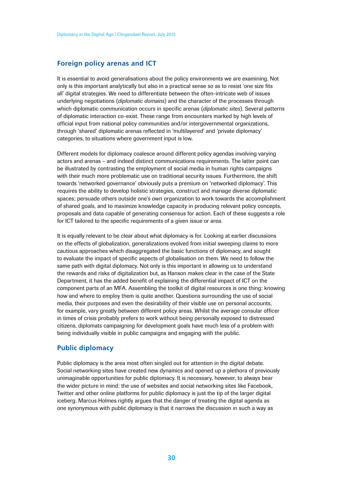#### <span id="page-29-0"></span>**Foreign policy arenas and ICT**

It is essential to avoid generalisations about the policy environments we are examining. Not only is this important analytically but also in a practical sense so as to resist 'one size fits all' digital strategies. We need to differentiate between the often-intricate web of issues underlying negotiations (*diplomatic domains*) and the character of the processes through which diplomatic communication occurs in specific arenas (*diplomatic sites*). Several patterns of diplomatic interaction co-exist. These range from encounters marked by high levels of official input from national policy communities and/or intergovernmental organizations, through 'shared' diplomatic arenas reflected in 'multilayered' and 'private diplomacy' categories, to situations where government input is low.

Different models for diplomacy coalesce around different policy agendas involving varying actors and arenas – and indeed distinct communications requirements. The latter point can be illustrated by contrasting the employment of social media in human rights campaigns with their much more problematic use on traditional security issues. Furthermore, the shift towards 'networked governance' obviously puts a premium on 'networked diplomacy'. This requires the ability to develop holistic strategies, construct and manage diverse diplomatic spaces; persuade others outside one's own organization to work towards the accomplishment of shared goals, and to maximize knowledge capacity in producing relevant policy concepts, proposals and data capable of generating consensus for action. Each of these suggests a role for ICT tailored to the specific requirements of a given issue or area.

It is equally relevant to be clear about what diplomacy is for. Looking at earlier discussions on the effects of globalization, generalizations evolved from initial sweeping claims to more cautious approaches which disaggregated the basic functions of diplomacy, and sought to evaluate the impact of specific aspects of globalisation on them. We need to follow the same path with digital diplomacy. Not only is this important in allowing us to understand the rewards and risks of digitalization but, as Hanson makes clear in the case of the State Department, it has the added benefit of explaining the differential impact of ICT on the component parts of an MFA. Assembling the toolkit of digital resources is one thing: knowing how and where to employ them is quite another. Questions surrounding the use of social media, their purposes and even the desirability of their visible use on personal accounts, for example, vary greatly between different policy areas. Whilst the average consular officer in times of crisis probably prefers to work without being personally exposed to distressed citizens, diplomats campaigning for development goals have much less of a problem with being individually visible in public campaigns and engaging with the public.

### **Public diplomacy**

Public diplomacy is the area most often singled out for attention in the digital debate. Social networking sites have created new dynamics and opened up a plethora of previously unimaginable opportunities for public diplomacy. It is necessary, however, to always bear the wider picture in mind: the use of websites and social networking sites like Facebook, Twitter and other online platforms for public diplomacy is just the tip of the larger digital iceberg. Marcus Holmes rightly argues that the danger of treating the digital agenda as one synonymous with public diplomacy is that it narrows the discussion in such a way as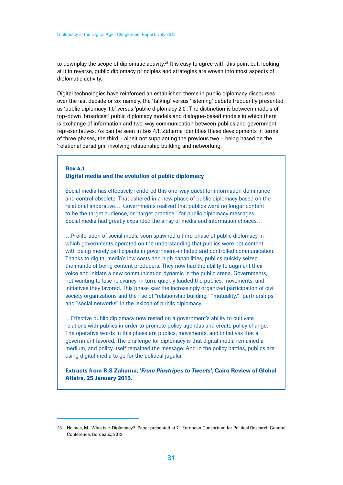to downplay the scope of diplomatic activity.<sup>28</sup> It is easy to agree with this point but, looking at it in reverse, public diplomacy principles and strategies are woven into most aspects of diplomatic activity.

Digital technologies have reinforced an established theme in public diplomacy discourses over the last decade or so: namely, the 'talking' versus 'listening' debate frequently presented as 'public diplomacy 1.0' versus 'public diplomacy 2.0'. The distinction is between models of top-down 'broadcast' public diplomacy models and dialogue-based models in which there is exchange of information and two-way communication between publics and government representatives. As can be seen in Box 4.1, Zaharna identifies these developments in terms of three phases, the third – albeit not supplanting the previous two – being based on the 'relational paradigm' involving relationship building and networking.

#### Box 4.1 Digital media and the evolution of public diplomacy

Social media has effectively rendered this one-way quest for information dominance and control obsolete. That ushered in a new phase of public diplomacy based on the relational imperative…. Governments realized that publics were no longer content to be the target audience, or "target practice," for public diplomacy messages. Social media had greatly expanded the array of media and information choices…

…Proliferation of social media soon spawned a third phase of public diplomacy in which governments operated on the understanding that publics were not content with being merely participants in government-initiated and controlled communication. Thanks to digital media's low costs and high capabilities, publics quickly seized the mantle of being content producers. They now had the ability to augment their voice and initiate a new communication dynamic in the public arena. Governments, not wanting to lose relevancy, in turn, quickly lauded the publics, movements, and initiatives they favored. This phase saw the increasingly organized participation of civil society organizations and the rise of "relationship building," "mutuality," "partnerships," and "social networks" in the lexicon of public diplomacy.

…Effective public diplomacy now rested on a government's ability to cultivate relations with publics in order to promote policy agendas and create policy change. The operative words in this phase are publics, movements, and initiatives that a government favored. The challenge for diplomacy is that digital media remained a medium, and policy itself remained the message. And in the policy battles, publics are using digital media to go for the political jugular.

Extracts from R.S Zaharna, '*From Pinstripes to Tweets*', Cairo Review of Global Affairs, 25 January 2015.

<sup>28</sup> Holmes, M. 'What is e-Diplomacy?' Paper presented at 7<sup>th</sup> European Consortium for Political Research General Conference, Bordeaux, 2013.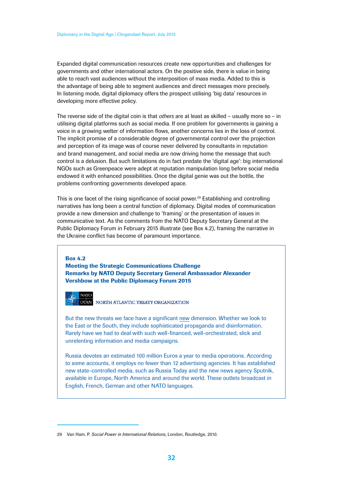Expanded digital communication resources create new opportunities and challenges for governments and other international actors. On the positive side, there is value in being able to reach vast audiences without the interposition of mass media. Added to this is the advantage of being able to segment audiences and direct messages more precisely. In listening mode, digital diplomacy offers the prospect utilising 'big data' resources in developing more effective policy.

The reverse side of the digital coin is that *others* are at least as skilled – usually more so – in utilising digital platforms such as social media. If one problem for governments is gaining a voice in a growing welter of information flows, another concerns lies in the loss of control. The implicit promise of a considerable degree of governmental control over the projection and perception of its image was of course never delivered by consultants in reputation and brand management, and social media are now driving home the message that such control is a delusion. But such limitations do in fact predate the 'digital age': big international NGOs such as Greenpeace were adept at reputation manipulation long before social media endowed it with enhanced possibilities. Once the digital genie was out the bottle, the problems confronting governments developed apace.

This is one facet of the rising significance of social power.<sup>29</sup> Establishing and controlling narratives has long been a central function of diplomacy. Digital modes of communication provide a new dimension and challenge to 'framing' or the presentation of issues in communicative text. As the comments from the NATO Deputy Secretary General at the Public Diplomacy Forum in February 2015 illustrate (see Box 4.2), framing the narrative in the Ukraine conflict has become of paramount importance.

#### Box 4.2 Meeting the Strategic Communications Challenge Remarks by NATO Deputy Secretary General Ambassador Alexander Vershbow at the Public Diplomacy Forum 2015

 $NATO$ NORTH ATLANTIC TREATY ORGANIZATION

But the new threats we face have a significant new dimension. Whether we look to the East or the South, they include sophisticated propaganda and disinformation. Rarely have we had to deal with such well-financed, well-orchestrated, slick and unrelenting information and media campaigns.

Russia devotes an estimated 100 million Euros a year to media operations. According to some accounts, it employs no fewer than 12 advertising agencies. It has established new state-controlled media, such as Russia Today and the new news agency Sputnik, available in Europe, North America and around the world. These outlets broadcast in English, French, German and other NATO languages.

<sup>29</sup> Van Ham, P. *Social Power in International Relations*, London, Routledge, 2010.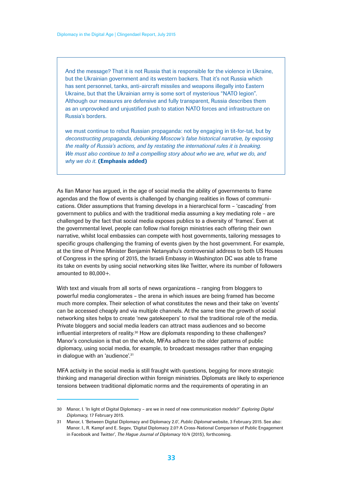And the message? That it is not Russia that is responsible for the violence in Ukraine, but the Ukrainian government and its western backers. That it's not Russia which has sent personnel, tanks, anti-aircraft missiles and weapons illegally into Eastern Ukraine, but that the Ukrainian army is some sort of mysterious "NATO legion". Although our measures are defensive and fully transparent, Russia describes them as an unprovoked and unjustified push to station NATO forces and infrastructure on Russia's borders.

we must continue to rebut Russian propaganda: not by engaging in tit-for-tat, but by *deconstructing propaganda, debunking Moscow's false historical narrative, by exposing the reality of Russia's actions, and by restating the international rules it is breaking. We must also continue to tell a compelling story about who we are, what we do, and why we do it*. (Emphasis added)

As Ilan Manor has argued, in the age of social media the ability of governments to frame agendas and the flow of events is challenged by changing realities in flows of communications. Older assumptions that framing develops in a hierarchical form – 'cascading' from government to publics and with the traditional media assuming a key mediating role – are challenged by the fact that social media exposes publics to a diversity of 'frames'. Even at the governmental level, people can follow rival foreign ministries each offering their own narrative, whilst local embassies can compete with host governments, tailoring messages to specific groups challenging the framing of events given by the host government. For example, at the time of Prime Minister Benjamin Netanyahu's controversial address to both US Houses of Congress in the spring of 2015, the Israeli Embassy in Washington DC was able to frame its take on events by using social networking sites like Twitter, where its number of followers amounted to 80,000+.

With text and visuals from all sorts of news organizations - ranging from bloggers to powerful media conglomerates – the arena in which issues are being framed has become much more complex. Their selection of what constitutes the news and their take on 'events' can be accessed cheaply and via multiple channels. At the same time the growth of social networking sites helps to create 'new gatekeepers' to rival the traditional role of the media. Private bloggers and social media leaders can attract mass audiences and so become influential interpreters of reality.<sup>30</sup> How are diplomats responding to these challenges? Manor's conclusion is that on the whole, MFAs adhere to the older patterns of public diplomacy, using social media, for example, to broadcast messages rather than engaging in dialogue with an 'audience'.<sup>31</sup>

MFA activity in the social media is still fraught with questions, begging for more strategic thinking and managerial direction within foreign ministries. Diplomats are likely to experience tensions between traditional diplomatic norms and the requirements of operating in an

<sup>30</sup> Manor, I. 'In light of Digital Diplomacy – are we in need of new communication models?' *Exploring Digital Diplomacy*, 17 February 2015.

<sup>31</sup> Manor, I. 'Between Digital Diplomacy and Diplomacy 2.0', *Public Diplomat* website, 3 February 2015. See also: Manor. I., R. Kampf and E. Segev, 'Digital Diplomacy 2.0? A Cross-National Comparison of Public Engagement in Facebook and Twitter', *The Hague Journal of Diplomacy* 10/4 (2015), forthcoming.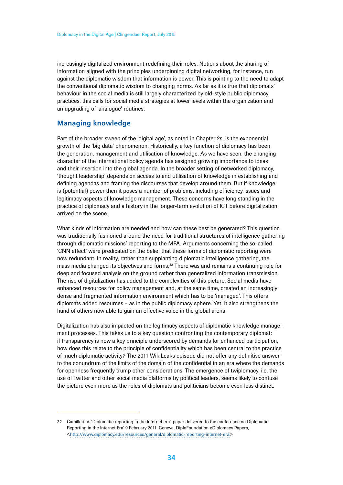<span id="page-33-0"></span>increasingly digitalized environment redefining their roles. Notions about the sharing of information aligned with the principles underpinning digital networking, for instance, run against the diplomatic wisdom that information is power. This is pointing to the need to adapt the conventional diplomatic wisdom to changing norms. As far as it is true that diplomats' behaviour in the social media is still largely characterized by old-style public diplomacy practices, this calls for social media strategies at lower levels within the organization and an upgrading of 'analogue' routines.

### **Managing knowledge**

Part of the broader sweep of the 'digital age', as noted in Chapter 2s, is the exponential growth of the 'big data' phenomenon. Historically, a key function of diplomacy has been the generation, management and utilisation of knowledge. As we have seen, the changing character of the international policy agenda has assigned growing importance to ideas and their insertion into the global agenda. In the broader setting of networked diplomacy, 'thought leadership' depends on access to and utilisation of knowledge in establishing and defining agendas and framing the discourses that develop around them. But if knowledge is (potential) power then it poses a number of problems, including efficiency issues and legitimacy aspects of knowledge management. These concerns have long standing in the practice of diplomacy and a history in the longer-term evolution of ICT before digitalization arrived on the scene.

What kinds of information are needed and how can these best be generated? This question was traditionally fashioned around the need for traditional structures of intelligence gathering through diplomatic missions' reporting to the MFA. Arguments concerning the so-called 'CNN effect' were predicated on the belief that these forms of diplomatic reporting were now redundant. In reality, rather than supplanting diplomatic intelligence gathering, the mass media changed its objectives and forms.<sup>32</sup> There was and remains a continuing role for deep and focused analysis on the ground rather than generalized information transmission. The rise of digitalization has added to the complexities of this picture. Social media have enhanced resources for policy management and, at the same time, created an increasingly dense and fragmented information environment which has to be 'managed'. This offers diplomats added resources – as in the public diplomacy sphere. Yet, it also strengthens the hand of others now able to gain an effective voice in the global arena.

Digitalization has also impacted on the legitimacy aspects of diplomatic knowledge management processes. This takes us to a key question confronting the contemporary diplomat: if transparency is now a key principle underscored by demands for enhanced participation, how does this relate to the principle of confidentiality which has been central to the practice of much diplomatic activity? The 2011 WikiLeaks episode did not offer any definitive answer to the conundrum of the limits of the domain of the confidential in an era where the demands for openness frequently trump other considerations. The emergence of twiplomacy, i.e. the use of Twitter and other social media platforms by political leaders, seems likely to confuse the picture even more as the roles of diplomats and politicians become even less distinct.

<sup>32</sup> Camilleri, V. 'Diplomatic reporting in the Internet era', paper delivered to the conference on Diplomatic Reporting in the Internet Era' 9 February 2011. Geneva, DiploFoundation eDiplomacy Papers, <http://www.diplomacy.edu/resources/general/diplomatic-reporting-internet-era>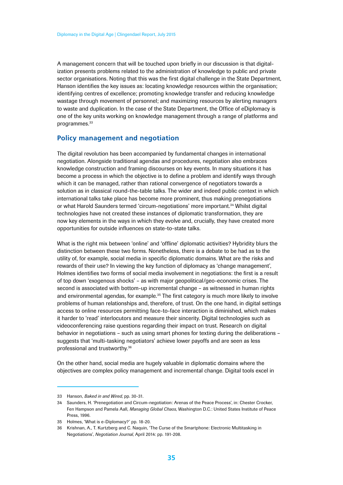<span id="page-34-0"></span>A management concern that will be touched upon briefly in our discussion is that digitalization presents problems related to the administration of knowledge to public and private sector organisations. Noting that this was the first digital challenge in the State Department, Hanson identifies the key issues as: locating knowledge resources within the organisation; identifying centres of excellence; promoting knowledge transfer and reducing knowledge wastage through movement of personnel; and maximizing resources by alerting managers to waste and duplication. In the case of the State Department, the Office of eDiplomacy is one of the key units working on knowledge management through a range of platforms and programmes.<sup>33</sup>

### **Policy management and negotiation**

The digital revolution has been accompanied by fundamental changes in international negotiation. Alongside traditional agendas and procedures, negotiation also embraces knowledge construction and framing discourses on key events. In many situations it has become a process in which the objective is to define a problem and identify ways through which it can be managed, rather than rational convergence of negotiators towards a solution as in classical round-the-table talks. The wider and indeed public context in which international talks take place has become more prominent, thus making prenegotiations or what Harold Saunders termed 'circum-negotiations' more important.<sup>34</sup> Whilst digital technologies have not created these instances of diplomatic transformation, they are now key elements in the ways in which they evolve and, crucially, they have created more opportunities for outside influences on state-to-state talks.

What is the right mix between 'online' and 'offline' diplomatic activities? Hybridity blurs the distinction between these two forms. Nonetheless, there is a debate to be had as to the utility of, for example, social media in specific diplomatic domains. What are the risks and rewards of their use? In viewing the key function of diplomacy as 'change management', Holmes identifies two forms of social media involvement in negotiations: the first is a result of top down 'exogenous shocks' – as with major geopolitical/geo-economic crises. The second is associated with bottom-up incremental change – as witnessed in human rights and environmental agendas, for example.<sup>35</sup> The first category is much more likely to involve problems of human relationships and, therefore, of trust. On the one hand, in digital settings access to online resources permitting face-to-face interaction is diminished, which makes it harder to 'read' interlocutors and measure their sincerity. Digital technologies such as videoconferencing raise questions regarding their impact on trust. Research on digital behavior in negotiations – such as using smart phones for texting during the deliberations – suggests that 'multi-tasking negotiators' achieve lower payoffs and are seen as less professional and trustworthy.36

On the other hand, social media are hugely valuable in diplomatic domains where the objectives are complex policy management and incremental change. Digital tools excel in

<sup>33</sup> Hanson, *Baked in and Wired*, pp. 30-31.

<sup>34</sup> Saunders, H. 'Prenegotiation and Circum-negotiation: Arenas of the Peace Process', in: Chester Crocker, Fen Hampson and Pamela Aall, *Managing Global Chaos*, Washington D.C.: United States Institute of Peace Press, 1996.

<sup>35</sup> Holmes, 'What is e-Diplomacy?' pp. 18-20.

<sup>36</sup> Krishnan, A., T. Kurtzberg and C. Naquin, 'The Curse of the Smartphone: Electronic Multitasking in Negotiations', *Negotiation Journal*, April 2014: pp. 191-208.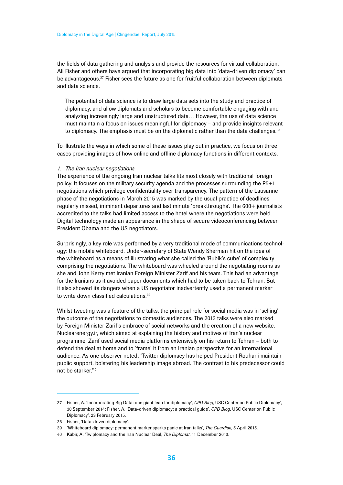the fields of data gathering and analysis and provide the resources for virtual collaboration. Ali Fisher and others have argued that incorporating big data into 'data-driven diplomacy' can be advantageous.<sup>37</sup> Fisher sees the future as one for fruitful collaboration between diplomats and data science.

The potential of data science is to draw large data sets into the study and practice of diplomacy, and allow diplomats and scholars to become comfortable engaging with and analyzing increasingly large and unstructured data… However, the use of data science must maintain a focus on issues meaningful for diplomacy – and provide insights relevant to diplomacy. The emphasis must be on the diplomatic rather than the data challenges.<sup>38</sup>

To illustrate the ways in which some of these issues play out in practice, we focus on three cases providing images of how online and offline diplomacy functions in different contexts.

#### *1. The Iran nuclear negotiations*

The experience of the ongoing Iran nuclear talks fits most closely with traditional foreign policy. It focuses on the military security agenda and the processes surrounding the P5+1 negotiations which privilege confidentiality over transparency. The pattern of the Lausanne phase of the negotiations in March 2015 was marked by the usual practice of deadlines regularly missed, imminent departures and last minute 'breakthroughs'. The 600+ journalists accredited to the talks had limited access to the hotel where the negotiations were held. Digital technology made an appearance in the shape of secure videoconferencing between President Obama and the US negotiators.

Surprisingly, a key role was performed by a very traditional mode of communications technology: the mobile whiteboard. Under-secretary of State Wendy Sherman hit on the idea of the whiteboard as a means of illustrating what she called the 'Rubik's cube' of complexity comprising the negotiations. The whiteboard was wheeled around the negotiating rooms as she and John Kerry met Iranian Foreign Minister Zarif and his team. This had an advantage for the Iranians as it avoided paper documents which had to be taken back to Tehran. But it also showed its dangers when a US negotiator inadvertently used a permanent marker to write down classified calculations.<sup>39</sup>

Whilst tweeting was a feature of the talks, the principal role for social media was in 'selling' the outcome of the negotiations to domestic audiences. The 2013 talks were also marked by Foreign Minister Zarif's embrace of social networks and the creation of a new website, Nuclearenergy.ir, which aimed at explaining the history and motives of Iran's nuclear programme. Zarif used social media platforms extensively on his return to Tehran – both to defend the deal at home and to 'frame' it from an Iranian perspective for an international audience. As one observer noted: 'Twitter diplomacy has helped President Rouhani maintain public support, bolstering his leadership image abroad. The contrast to his predecessor could not be starker<sup>'40</sup>

<sup>37</sup> Fisher, A. 'Incorporating Big Data: one giant leap for diplomacy', *CPD Blog*, USC Center on Public Diplomacy', 30 September 2014; Fisher, A. 'Data-driven diplomacy: a practical guide', *CPD Blog*, USC Center on Public Diplomacy', 23 February 2015.

<sup>38</sup> Fisher, 'Data-driven diplomacy'.

<sup>39</sup> 'Whiteboard diplomacy: permanent marker sparks panic at Iran talks', *The Guardian*, 5 April 2015.

<sup>40</sup> Kabir, A. 'Twiplomacy and the Iran Nuclear Deal, *The Diplomat*, 11 December 2013.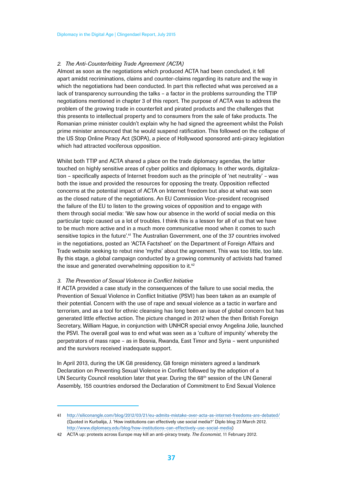#### *2. The Anti-Counterfeiting Trade Agreement (ACTA)*

Almost as soon as the negotiations which produced ACTA had been concluded, it fell apart amidst recriminations, claims and counter-claims regarding its nature and the way in which the negotiations had been conducted. In part this reflected what was perceived as a lack of transparency surrounding the talks – a factor in the problems surrounding the TTIP negotiations mentioned in chapter 3 of this report. The purpose of ACTA was to address the problem of the growing trade in counterfeit and pirated products and the challenges that this presents to intellectual property and to consumers from the sale of fake products. The Romanian prime minister couldn't explain why he had signed the agreement whilst the Polish prime minister announced that he would suspend ratification. This followed on the collapse of the US Stop Online Piracy Act (SOPA), a piece of Hollywood sponsored anti-piracy legislation which had attracted vociferous opposition.

Whilst both TTIP and ACTA shared a place on the trade diplomacy agendas, the latter touched on highly sensitive areas of cyber politics and diplomacy. In other words, digitalization – specifically aspects of Internet freedom such as the principle of 'net neutrality' – was both the issue and provided the resources for opposing the treaty. Opposition reflected concerns at the potential impact of ACTA on Internet freedom but also at what was seen as the closed nature of the negotiations. An EU Commission Vice-president recognised the failure of the EU to listen to the growing voices of opposition and to engage with them through social media: 'We saw how our absence in the world of social media on this particular topic caused us a lot of troubles. I think this is a lesson for all of us that we have to be much more active and in a much more communicative mood when it comes to such sensitive topics in the future'.<sup>41</sup> The Australian Government, one of the 37 countries involved in the negotiations, posted an 'ACTA Factsheet' on the Department of Foreign Affairs and Trade website seeking to rebut nine 'myths' about the agreement. This was too little, too late. By this stage, a global campaign conducted by a growing community of activists had framed the issue and generated overwhelming opposition to it.<sup>42</sup>

#### *3. The Prevention of Sexual Violence in Conflict Initiative*

If ACTA provided a case study in the consequences of the failure to use social media, the Prevention of Sexual Violence in Conflict Initiative (PSVI) has been taken as an example of their potential. Concern with the use of rape and sexual violence as a tactic in warfare and terrorism, and as a tool for ethnic cleansing has long been an issue of global concern but has generated little effective action. The picture changed in 2012 when the then British Foreign Secretary, William Hague, in conjunction with UNHCR special envoy Angelina Jolie, launched the PSVI. The overall goal was to end what was seen as a 'culture of impunity' whereby the perpetrators of mass rape – as in Bosnia, Rwanda, East Timor and Syria – went unpunished and the survivors received inadequate support.

In April 2013, during the UK G8 presidency, G8 foreign ministers agreed a landmark Declaration on Preventing Sexual Violence in Conflict followed by the adoption of a UN Security Council resolution later that year. During the  $68<sup>th</sup>$  session of the UN General Assembly, 155 countries endorsed the Declaration of Commitment to End Sexual Violence

<sup>41</sup> http://siliconangle.com/blog/2012/03/21/eu-admits-mistake-over-acta-as-internet-freedoms-are-debated/ (Quoted in Kurbalija, J. 'How institutions can effectively use social media?' Diplo blog 23 March 2012. http://www.diplomacy.edu/blog/how-institutions-can-effectively-use-social-media)

<sup>42</sup> ACTA up: protests across Europe may kill an anti-piracy treaty. *The Economist*, 11 February 2012.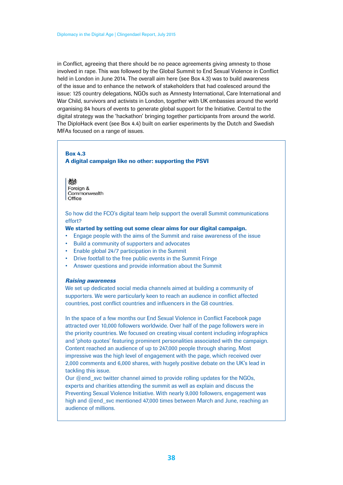in Conflict, agreeing that there should be no peace agreements giving amnesty to those involved in rape. This was followed by the Global Summit to End Sexual Violence in Conflict held in London in June 2014. The overall aim here (see Box 4.3) was to build awareness of the issue and to enhance the network of stakeholders that had coalesced around the issue: 125 country delegations, NGOs such as Amnesty International, Care International and War Child, survivors and activists in London, together with UK embassies around the world organising 84 hours of events to generate global support for the Initiative. Central to the digital strategy was the 'hackathon' bringing together participants from around the world. The DiploHack event (see Box 4.4) built on earlier experiments by the Dutch and Swedish MFAs focused on a range of issues.

#### Box 4.3 A digital campaign like no other: supporting the PSVI

燃 Foreign & Commonwealth Office

So how did the FCO's digital team help support the overall Summit communications effort?

#### We started by setting out some clear aims for our digital campaign.

- Engage people with the aims of the Summit and raise awareness of the issue
- Build a community of supporters and advocates
- Enable global 24/7 participation in the Summit
- Drive footfall to the free public events in the Summit Fringe
- Answer questions and provide information about the Summit

#### *Raising awareness*

We set up dedicated social media channels aimed at building a community of supporters. We were particularly keen to reach an audience in conflict affected countries, post conflict countries and influencers in the G8 countries.

In the space of a few months our End Sexual Violence in Conflict Facebook page attracted over 10,000 followers worldwide. Over half of the page followers were in the priority countries. We focused on creating visual content including infographics and 'photo quotes' featuring prominent personalities associated with the campaign. Content reached an audience of up to 247,000 people through sharing. Most impressive was the high level of engagement with the page, which received over 2,000 comments and 6,000 shares, with hugely positive debate on the UK's lead in tackling this issue.

Our  $@$  end svc twitter channel aimed to provide rolling updates for the NGOs, experts and charities attending the summit as well as explain and discuss the Preventing Sexual Violence Initiative. With nearly 9,000 followers, engagement was high and @end\_svc mentioned 47,000 times between March and June, reaching an audience of millions.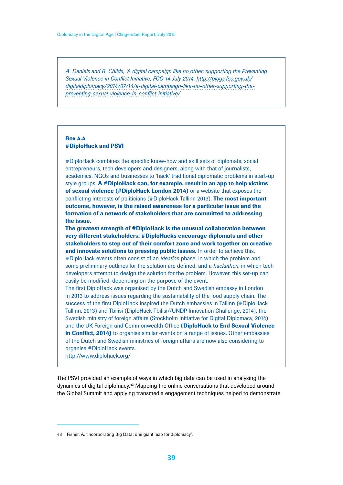*A. Daniels and R. Childs, 'A digital campaign like no other: supporting the Preventing Sexual Violence in Conflict Initiative, FCO 14 July 2014. http://blogs.fco.gov.uk/ digitaldiplomacy/2014/07/14/a-digital-campaign-like-no-other-supporting-thepreventing-sexual-violence-in-conflict-initiative/*

#### Box 4.4 #DiploHack and PSVI

#DiploHack combines the specific know-how and skill sets of diplomats, social entrepreneurs, tech developers and designers, along with that of journalists, academics, NGOs and businesses to 'hack' traditional diplomatic problems in start-up style groups. A #DiploHack can, for example, result in an app to help victims of sexual violence (#DiploHack London 2014) or a website that exposes the conflicting interests of politicians (#DiploHack Tallinn 2013). The most important outcome, however, is the raised awareness for a particular issue and the formation of a network of stakeholders that are committed to addressing the issue.

The greatest strength of #DiploHack is the unusual collaboration between very different stakeholders. #DiploHacks encourage diplomats and other stakeholders to step out of their comfort zone and work together on creative and innovate solutions to pressing public issues. In order to achieve this, #DiploHack events often consist of an *ideation* phase, in which the problem and some preliminary outlines for the solution are defined, and a *hackathon*, in which tech developers attempt to design the solution for the problem. However, this set-up can easily be modified, depending on the purpose of the event.

The first DiploHack was organised by the Dutch and Swedish embassy in London in 2013 to address issues regarding the sustainability of the food supply chain. The success of the first DiploHack inspired the Dutch embassies in Tallinn (#DiploHack Tallinn, 2013) and Tbilisi (DiploHack Tbilisi//UNDP Innovation Challenge, 2014), the Swedish ministry of foreign affairs (Stockholm Initiative for Digital Diplomacy, 2014) and the UK Foreign and Commonwealth Office (DiploHack to End Sexual Violence in Conflict. 2014) to organise similar events on a range of issues. Other embassies of the Dutch and Swedish ministries of foreign affairs are now also considering to organise #DiploHack events.

http://www.diplohack.org/

The PSVI provided an example of ways in which big data can be used in analysing the dynamics of digital diplomacy.43 Mapping the online conversations that developed around the Global Summit and applying transmedia engagement techniques helped to demonstrate

<sup>43</sup> Fisher, A. 'Incorporating Big Data: one giant leap for diplomacy'.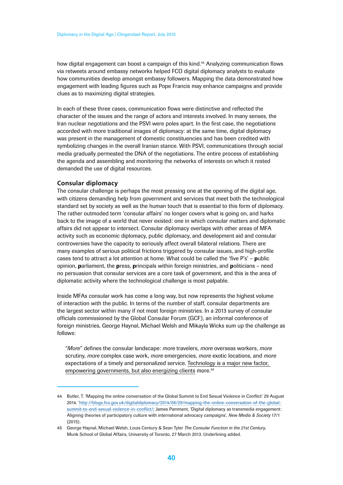how digital engagement can boost a campaign of this kind.<sup>44</sup> Analyzing communication flows via retweets around embassy networks helped FCO digital diplomacy analysts to evaluate how communities develop amongst embassy followers. Mapping the data demonstrated how engagement with leading figures such as Pope Francis may enhance campaigns and provide clues as to maximizing digital strategies.

In each of these three cases, communication flows were distinctive and reflected the character of the issues and the range of actors and interests involved. In many senses, the Iran nuclear negotiations and the PSVI were poles apart. In the first case, the negotiations accorded with more traditional images of diplomacy: at the same time, digital diplomacy was present in the management of domestic constituencies and has been credited with symbolizing changes in the overall Iranian stance. With PSVI, communications through social media gradually permeated the DNA of the negotiations. The entire process of establishing the agenda and assembling and monitoring the networks of interests on which it rested demanded the use of digital resources.

#### **Consular diplomacy**

The consular challenge is perhaps the most pressing one at the opening of the digital age, with citizens demanding help from government and services that meet both the technological standard set by society as well as the human touch that is essential to this form of diplomacy. The rather outmoded term 'consular affairs' no longer covers what is going on, and harks back to the image of a world that never existed: one in which consular matters and diplomatic affairs did not appear to intersect. Consular diplomacy overlaps with other areas of MFA activity such as economic diplomacy, public diplomacy, and development aid and consular controversies have the capacity to seriously affect overall bilateral relations. There are many examples of serious political frictions triggered by consular issues, and high-profile cases tend to attract a lot attention at home. What could be called the 'five P's' – public opinion, parliament, the press, principals within foreign ministries, and politicians - need no persuasion that consular services are a core task of government, and this is the area of diplomatic activity where the technological challenge is most palpable.

Inside MFAs consular work has come a long way, but now represents the highest volume of interaction with the public. In terms of the number of staff, consular departments are the largest sector within many if not most foreign ministries. In a 2013 survey of consular officials commissioned by the Global Consular Forum (GCF), an informal conference of foreign ministries, George Haynal, Michael Welsh and Mikayla Wicks sum up the challenge as follows:

"*More*" defines the consular landscape: *more* travelers, *more* overseas workers, *more* scrutiny, *more* complex case work, *more* emergencies, *more* exotic locations, and *more* expectations of a timely and personalized service. Technology is a major new factor, empowering governments, but also energizing clients more.<sup>45</sup>

<sup>44</sup> Butler, T. 'Mapping the online conversation of the Global Summit to End Sexual Violence in Conflict' 29 August 2014. 'http://blogs.fco.gov.uk/digitaldiplomacy/2014/08/29/mapping-the-online-conversation-of-the-globalsummit-to-end-sexual-violence-in-conflict/; James Pamment, 'Digital diplomacy as transmedia engagement: Aligning theories of participatory culture with international advocacy campaigns', *New Media & Society* 17/1 (2015).

<sup>45</sup> George Haynal, Michael Welsh, Louis Century & Sean Tyler *The Consular Function in the 21st Century*, Munk School of Global Affairs, University of Toronto, 27 March 2013. Underlining added.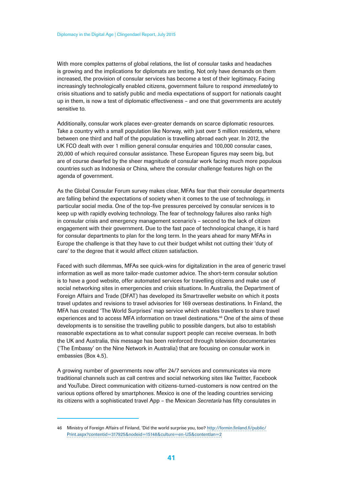With more complex patterns of global relations, the list of consular tasks and headaches is growing and the implications for diplomats are testing. Not only have demands on them increased, the provision of consular services has become a test of their legitimacy. Facing increasingly technologically enabled citizens, government failure to respond *immediately* to crisis situations and to satisfy public and media expectations of support for nationals caught up in them, is now a test of diplomatic effectiveness – and one that governments are acutely sensitive to.

Additionally, consular work places ever-greater demands on scarce diplomatic resources. Take a country with a small population like Norway, with just over 5 million residents, where between one third and half of the population is travelling abroad each year. In 2012, the UK FCO dealt with over 1 million general consular enquiries and 100,000 consular cases, 20,000 of which required consular assistance. These European figures may seem big, but are of course dwarfed by the sheer magnitude of consular work facing much more populous countries such as Indonesia or China, where the consular challenge features high on the agenda of government.

As the Global Consular Forum survey makes clear, MFAs fear that their consular departments are falling behind the expectations of society when it comes to the use of technology, in particular social media. One of the top-five pressures perceived by consular services is to keep up with rapidly evolving technology. The fear of technology failures also ranks high in consular crisis and emergency management scenario's – second to the lack of citizen engagement with their government. Due to the fast pace of technological change, it is hard for consular departments to plan for the long term. In the years ahead for many MFAs in Europe the challenge is that they have to cut their budget whilst not cutting their 'duty of care' to the degree that it would affect citizen satisfaction.

Faced with such dilemmas, MFAs see quick-wins for digitalization in the area of generic travel information as well as more tailor-made customer advice. The short-term consular solution is to have a good website, offer automated services for travelling citizens and make use of social networking sites in emergencies and crisis situations. In Australia, the Department of Foreign Affairs and Trade (DFAT) has developed its Smartraveller website on which it posts travel updates and revisions to travel advisories for 169 overseas destinations. In Finland, the MFA has created 'The World Surprises' map service which enables travellers to share travel experiences and to access MFA information on travel destinations.46 One of the aims of these developments is to sensitise the travelling public to possible dangers, but also to establish reasonable expectations as to what consular support people can receive overseas. In both the UK and Australia, this message has been reinforced through television documentaries ('The Embassy' on the Nine Network in Australia) that are focusing on consular work in embassies (Box 4.5).

A growing number of governments now offer 24/7 services and communicates via more traditional channels such as call centres and social networking sites like Twitter, Facebook and YouTube. Direct communication with citizens-turned-customers is now centred on the various options offered by smartphones. Mexico is one of the leading countries servicing its citizens with a sophisticated travel App – the Mexican *Secretaría* has fifty consulates in

<sup>46</sup> Ministry of Foreign Affairs of Finland, 'Did the world surprise you, too? http://formin.finland.fi/public/ Print.aspx?contentid=317925&nodeid=15148&culture=en-US&contentlan=2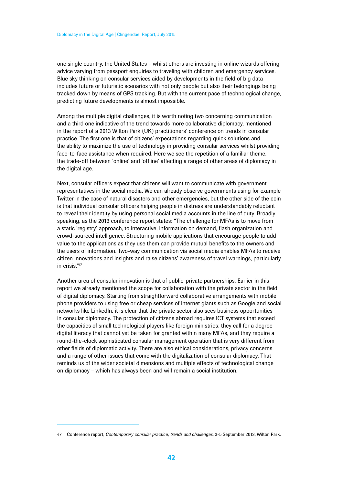one single country, the United States – whilst others are investing in online wizards offering advice varying from passport enquiries to traveling with children and emergency services. Blue sky thinking on consular services aided by developments in the field of big data includes future or futuristic scenarios with not only people but also their belongings being tracked down by means of GPS tracking. But with the current pace of technological change, predicting future developments is almost impossible.

Among the multiple digital challenges, it is worth noting two concerning communication and a third one indicative of the trend towards more collaborative diplomacy, mentioned in the report of a 2013 Wilton Park (UK) practitioners' conference on trends in consular practice. The first one is that of citizens' expectations regarding quick solutions and the ability to maximize the use of technology in providing consular services whilst providing face-to-face assistance when required. Here we see the repetition of a familiar theme, the trade-off between 'online' and 'offline' affecting a range of other areas of diplomacy in the digital age.

Next, consular officers expect that citizens will want to communicate with government representatives in the social media. We can already observe governments using for example Twitter in the case of natural disasters and other emergencies, but the other side of the coin is that individual consular officers helping people in distress are understandably reluctant to reveal their identity by using personal social media accounts in the line of duty. Broadly speaking, as the 2013 conference report states: "The challenge for MFAs is to move from a static 'registry' approach, to interactive, information on demand, flash organization and crowd-sourced intelligence. Structuring mobile applications that encourage people to add value to the applications as they use them can provide mutual benefits to the owners and the users of information. Two-way communication via social media enables MFAs to receive citizen innovations and insights and raise citizens' awareness of travel warnings, particularly in crisis."47

Another area of consular innovation is that of public-private partnerships. Earlier in this report we already mentioned the scope for collaboration with the private sector in the field of digital diplomacy. Starting from straightforward collaborative arrangements with mobile phone providers to using free or cheap services of internet giants such as Google and social networks like LinkedIn, it is clear that the private sector also sees business opportunities in consular diplomacy. The protection of citizens abroad requires ICT systems that exceed the capacities of small technological players like foreign ministries; they call for a degree digital literacy that cannot yet be taken for granted within many MFAs, and they require a round-the-clock sophisticated consular management operation that is very different from other fields of diplomatic activity. There are also ethical considerations, privacy concerns and a range of other issues that come with the digitalization of consular diplomacy. That reminds us of the wider societal dimensions and multiple effects of technological change on diplomacy – which has always been and will remain a social institution.

<sup>47</sup> Conference report, *Contemporary consular practice; trends and challenges*, 3-5 September 2013, Wilton Park.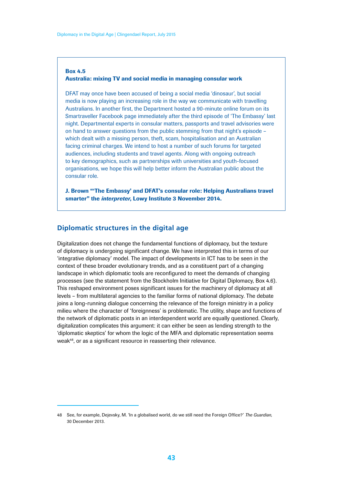#### <span id="page-42-0"></span>Box 4.5 Australia: mixing TV and social media in managing consular work

DFAT may once have been accused of being a social media 'dinosaur', but social media is now playing an increasing role in the way we communicate with travelling Australians. In another first, the Department hosted a 90-minute online forum on its Smartraveller Facebook page immediately after the third episode of 'The Embassy' last night. Departmental experts in consular matters, passports and travel advisories were on hand to answer questions from the public stemming from that night's episode – which dealt with a missing person, theft, scam, hospitalisation and an Australian facing criminal charges. We intend to host a number of such forums for targeted audiences, including students and travel agents. Along with ongoing outreach to key demographics, such as partnerships with universities and youth-focused organisations, we hope this will help better inform the Australian public about the consular role.

J. Brown "'The Embassy' and DFAT's consular role: Helping Australians travel smarter" the *interpreter*, Lowy Institute 3 November 2014.

#### **Diplomatic structures in the digital age**

Digitalization does not change the fundamental functions of diplomacy, but the texture of diplomacy is undergoing significant change. We have interpreted this in terms of our 'integrative diplomacy' model. The impact of developments in ICT has to be seen in the context of these broader evolutionary trends, and as a constituent part of a changing landscape in which diplomatic tools are reconfigured to meet the demands of changing processes (see the statement from the Stockholm Initiative for Digital Diplomacy, Box 4.6). This reshaped environment poses significant issues for the machinery of diplomacy at all levels – from multilateral agencies to the familiar forms of national diplomacy. The debate joins a long-running dialogue concerning the relevance of the foreign ministry in a policy milieu where the character of 'foreignness' is problematic. The utility, shape and functions of the network of diplomatic posts in an interdependent world are equally questioned. Clearly, digitalization complicates this argument: it can either be seen as lending strength to the 'diplomatic skeptics' for whom the logic of the MFA and diplomatic representation seems weak<sup>48</sup>, or as a significant resource in reasserting their relevance.

<sup>48</sup> See, for example, Dejevsky, M. 'In a globalised world, do we still need the Foreign Office?' *The Guardian*, 30 December 2013.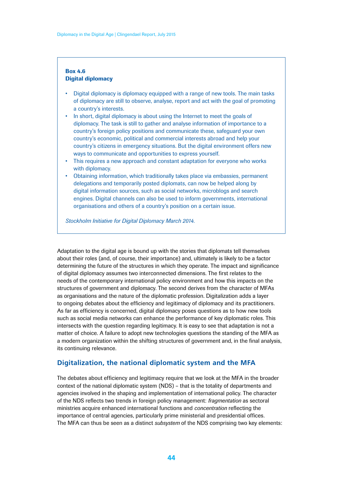#### <span id="page-43-0"></span>Box 4.6 Digital diplomacy

- Digital diplomacy is diplomacy equipped with a range of new tools. The main tasks of diplomacy are still to observe, analyse, report and act with the goal of promoting a country's interests.
- In short, digital diplomacy is about using the Internet to meet the goals of diplomacy. The task is still to gather and analyse information of importance to a country's foreign policy positions and communicate these, safeguard your own country's economic, political and commercial interests abroad and help your country's citizens in emergency situations. But the digital environment offers new ways to communicate and opportunities to express yourself.
- This requires a new approach and constant adaptation for everyone who works with diplomacy.
- Obtaining information, which traditionally takes place via embassies, permanent delegations and temporarily posted diplomats, can now be helped along by digital information sources, such as social networks, microblogs and search engines. Digital channels can also be used to inform governments, international organisations and others of a country's position on a certain issue.

*Stockholm Initiative for Digital Diplomacy March 2014.*

Adaptation to the digital age is bound up with the stories that diplomats tell themselves about their roles (and, of course, their importance) and, ultimately is likely to be a factor determining the future of the structures in which they operate. The impact and significance of digital diplomacy assumes two interconnected dimensions. The first relates to the needs of the contemporary international policy environment and how this impacts on the structures of government and diplomacy. The second derives from the character of MFAs as organisations and the nature of the diplomatic profession. Digitalization adds a layer to ongoing debates about the efficiency and legitimacy of diplomacy and its practitioners. As far as efficiency is concerned, digital diplomacy poses questions as to how new tools such as social media networks can enhance the performance of key diplomatic roles. This intersects with the question regarding legitimacy. It is easy to see that adaptation is not a matter of choice. A failure to adopt new technologies questions the standing of the MFA as a modern organization within the shifting structures of government and, in the final analysis, its continuing relevance.

### **Digitalization, the national diplomatic system and the MFA**

The debates about efficiency and legitimacy require that we look at the MFA in the broader context of the national diplomatic system (NDS) – that is the totality of departments and agencies involved in the shaping and implementation of international policy. The character of the NDS reflects two trends in foreign policy management: *fragmentation* as sectoral ministries acquire enhanced international functions and *concentration* reflecting the importance of central agencies, particularly prime ministerial and presidential offices. The MFA can thus be seen as a distinct *subsystem* of the NDS comprising two key elements: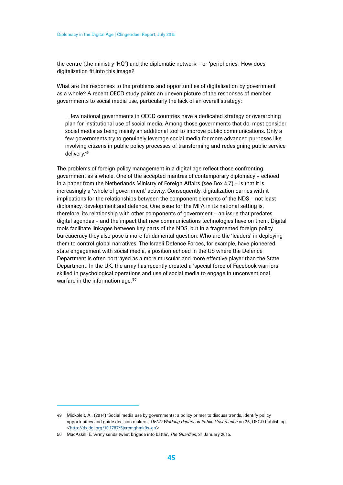the centre (the ministry 'HQ') and the diplomatic network – or 'peripheries'. How does digitalization fit into this image?

What are the responses to the problems and opportunities of digitalization by government as a whole? A recent OECD study paints an uneven picture of the responses of member governments to social media use, particularly the lack of an overall strategy:

…few national governments in OECD countries have a dedicated strategy or overarching plan for institutional use of social media. Among those governments that do, most consider social media as being mainly an additional tool to improve public communications. Only a few governments try to genuinely leverage social media for more advanced purposes like involving citizens in public policy processes of transforming and redesigning public service delivery.49

The problems of foreign policy management in a digital age reflect those confronting government as a whole. One of the accepted mantras of contemporary diplomacy – echoed in a paper from the Netherlands Ministry of Foreign Affairs (see Box 4.7) – is that it is increasingly a 'whole of government' activity. Consequently, digitalization carries with it implications for the relationships between the component elements of the NDS – not least diplomacy, development and defence. One issue for the MFA in its national setting is, therefore, its relationship with other components of government – an issue that predates digital agendas – and the impact that new communications technologies have on them. Digital tools facilitate linkages between key parts of the NDS, but in a fragmented foreign policy bureaucracy they also pose a more fundamental question: Who are the 'leaders' in deploying them to control global narratives. The Israeli Defence Forces, for example, have pioneered state engagement with social media, a position echoed in the US where the Defence Department is often portrayed as a more muscular and more effective player than the State Department. In the UK, the army has recently created a 'special force of Facebook warriors skilled in psychological operations and use of social media to engage in unconventional warfare in the information age.'50

<sup>49</sup> Mickoleit, A., (2014) 'Social media use by governments: a policy primer to discuss trends, identify policy opportunities and guide decision makers', *OECD Working Papers on Public Governance* no 26, OECD Publishing. <http://dx.doi.org/10.1787/5jxrcmghmk0s-en>

<sup>50</sup> MacAskill, E. 'Army sends tweet brigade into battle', *The Guardian*, 31 January 2015.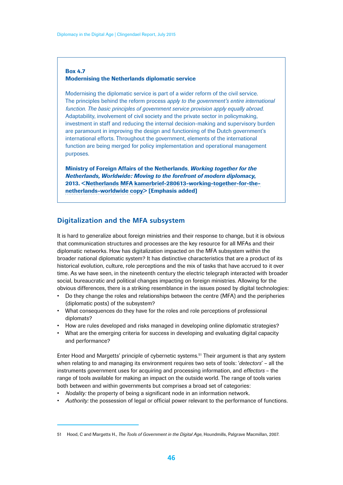#### <span id="page-45-0"></span>Box 4.7 Modernising the Netherlands diplomatic service

Modernising the diplomatic service is part of a wider reform of the civil service. The principles behind the reform process *apply to the government's entire international function. The basic principles of government service provision apply equally abroad*. Adaptability, involvement of civil society and the private sector in policymaking, investment in staff and reducing the internal decision-making and supervisory burden are paramount in improving the design and functioning of the Dutch government's international efforts. Throughout the government, elements of the international function are being merged for policy implementation and operational management purposes.

Ministry of Foreign Affairs of the Netherlands, *Working together for the Netherlands, Worldwide: Moving to the forefront of modern diplomacy*, 2013. <Netherlands MFA kamerbrief-280613-working-together-for-thenetherlands-worldwide copy> [Emphasis added]

### **Digitalization and the MFA subsystem**

It is hard to generalize about foreign ministries and their response to change, but it is obvious that communication structures and processes are the key resource for all MFAs and their diplomatic networks. How has digitalization impacted on the MFA subsystem within the broader national diplomatic system? It has distinctive characteristics that are a product of its historical evolution, culture, role perceptions and the mix of tasks that have accrued to it over time. As we have seen, in the nineteenth century the electric telegraph interacted with broader social, bureaucratic and political changes impacting on foreign ministries. Allowing for the obvious differences, there is a striking resemblance in the issues posed by digital technologies:

- Do they change the roles and relationships between the centre (MFA) and the peripheries (diplomatic posts) of the subsystem?
- What consequences do they have for the roles and role perceptions of professional diplomats?
- How are rules developed and risks managed in developing online diplomatic strategies?
- What are the emerging criteria for success in developing and evaluating digital capacity and performance?

Enter Hood and Margetts' principle of cybernetic systems.51 Their argument is that any system when relating to and managing its environment requires two sets of tools: '*detectors*' – all the instruments government uses for acquiring and processing information, and *effectors* – the range of tools available for making an impact on the outside world. The range of tools varies both between and within governments but comprises a broad set of categories:

- *Nodality:* the property of being a significant node in an information network.
- *Authority:* the possession of legal or official power relevant to the performance of functions.

<sup>51</sup> Hood, C and Margetts H., *The Tools of Government in the Digital Age*, Houndmills, Palgrave Macmillan, 2007.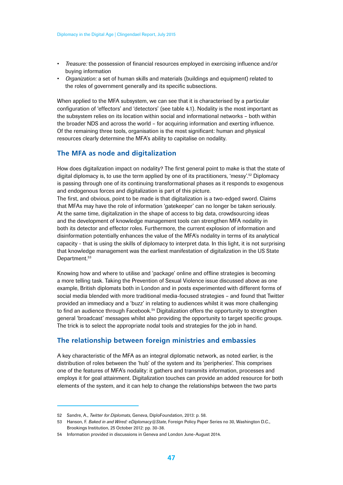- <span id="page-46-0"></span>• *Treasure:* the possession of financial resources employed in exercising influence and/or buying information
- *Organization:* a set of human skills and materials (buildings and equipment) related to the roles of government generally and its specific subsections.

When applied to the MFA subsystem, we can see that it is characterised by a particular configuration of 'effectors' and 'detectors' (see table 4.1). Nodality is the most important as the subsystem relies on its location within social and informational networks – both within the broader NDS and across the world – for acquiring information and exerting influence. Of the remaining three tools, organisation is the most significant: human and physical resources clearly determine the MFA's ability to capitalise on nodality.

#### **The MFA as node and digitalization**

How does digitalization impact on nodality? The first general point to make is that the state of digital diplomacy is, to use the term applied by one of its practitioners, 'messy'.52 Diplomacy is passing through one of its continuing transformational phases as it responds to exogenous and endogenous forces and digitalization is part of this picture.

The first, and obvious, point to be made is that digitalization is a two-edged sword. Claims that MFAs may have the role of information 'gatekeeper' can no longer be taken seriously. At the same time, digitalization in the shape of access to big data, crowdsourcing ideas and the development of knowledge management tools can strengthen MFA nodality in both its detector and effector roles. Furthermore, the current explosion of information and disinformation potentially enhances the value of the MFA's nodality in terms of its analytical capacity - that is using the skills of diplomacy to interpret data. In this light, it is not surprising that knowledge management was the earliest manifestation of digitalization in the US State Department.<sup>53</sup>

Knowing how and where to utilise and 'package' online and offline strategies is becoming a more telling task. Taking the Prevention of Sexual Violence issue discussed above as one example, British diplomats both in London and in posts experimented with different forms of social media blended with more traditional media-focused strategies – and found that Twitter provided an immediacy and a 'buzz' in relating to audiences whilst it was more challenging to find an audience through Facebook.<sup>54</sup> Digitalization offers the opportunity to strengthen general 'broadcast' messages whilst also providing the opportunity to target specific groups. The trick is to select the appropriate nodal tools and strategies for the job in hand.

### **The relationship between foreign ministries and embassies**

A key characteristic of the MFA as an integral diplomatic network, as noted earlier, is the distribution of roles between the 'hub' of the system and its 'peripheries'. This comprises one of the features of MFA's nodality: it gathers and transmits information, processes and employs it for goal attainment. Digitalization touches can provide an added resource for both elements of the system, and it can help to change the relationships between the two parts

<sup>52</sup> Sandre, A., *Twitter for Diplomats*, Geneva, DiploFoundation, 2013: p. 58.

<sup>53</sup> Hanson, F. *Baked in and Wired: eDiplomacy@State*, Foreign Policy Paper Series no 30, Washington D.C., Brookings Institution, 25 October 2012: pp. 30-38.

<sup>54</sup> Information provided in discussions in Geneva and London June-August 2014.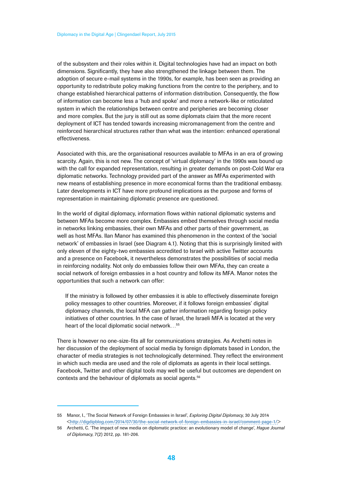of the subsystem and their roles within it. Digital technologies have had an impact on both dimensions. Significantly, they have also strengthened the linkage between them. The adoption of secure e-mail systems in the 1990s, for example, has been seen as providing an opportunity to redistribute policy making functions from the centre to the periphery, and to change established hierarchical patterns of information distribution. Consequently, the flow of information can become less a 'hub and spoke' and more a network-like or reticulated system in which the relationships between centre and peripheries are becoming closer and more complex. But the jury is still out as some diplomats claim that the more recent deployment of ICT has tended towards increasing micromanagement from the centre and reinforced hierarchical structures rather than what was the intention: enhanced operational effectiveness.

Associated with this, are the organisational resources available to MFAs in an era of growing scarcity. Again, this is not new. The concept of 'virtual diplomacy' in the 1990s was bound up with the call for expanded representation, resulting in greater demands on post-Cold War era diplomatic networks. Technology provided part of the answer as MFAs experimented with new means of establishing presence in more economical forms than the traditional embassy. Later developments in ICT have more profound implications as the purpose and forms of representation in maintaining diplomatic presence are questioned.

In the world of digital diplomacy, information flows within national diplomatic systems and between MFAs become more complex. Embassies embed themselves through social media in networks linking embassies, their own MFAs and other parts of their government, as well as host MFAs. Ilan Manor has examined this phenomenon in the context of the 'social network' of embassies in Israel (see Diagram 4.1). Noting that this is surprisingly limited with only eleven of the eighty-two embassies accredited to Israel with active Twitter accounts and a presence on Facebook, it nevertheless demonstrates the possibilities of social media in reinforcing nodality. Not only do embassies follow their own MFAs, they can create a social network of foreign embassies in a host country and follow its MFA. Manor notes the opportunities that such a network can offer:

If the ministry is followed by other embassies it is able to effectively disseminate foreign policy messages to other countries. Moreover, if it follows foreign embassies' digital diplomacy channels, the local MFA can gather information regarding foreign policy initiatives of other countries. In the case of Israel, the Israeli MFA is located at the very heart of the local diplomatic social network…55

There is however no one-size-fits all for communications strategies. As Archetti notes in her discussion of the deployment of social media by foreign diplomats based in London, the character of media strategies is not technologically determined. They reflect the environment in which such media are used and the role of diplomats as agents in their local settings. Facebook, Twitter and other digital tools may well be useful but outcomes are dependent on contexts and the behaviour of diplomats as social agents.56

<sup>55</sup> Manor, I., 'The Social Network of Foreign Embassies in Israel', *Exploring Digital Diplomacy*, 30 July 2014 <http://digdipblog.com/2014/07/30/the-social-network-of-foreign-embassies-in-israel/comment-page-1/>

<sup>56</sup> Archetti, C. 'The impact of new media on diplomatic practice: an evolutionary model of change', *Hague Journal of Diplomacy*, 7(2) 2012, pp. 181-206.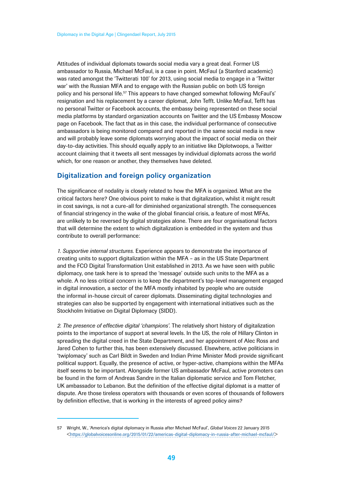<span id="page-48-0"></span>Attitudes of individual diplomats towards social media vary a great deal. Former US ambassador to Russia, Michael McFaul, is a case in point. McFaul (a Stanford academic) was rated amongst the 'Twitterati 100' for 2013, using social media to engage in a 'Twitter war' with the Russian MFA and to engage with the Russian public on both US foreign policy and his personal life.57 This appears to have changed somewhat following McFaul's' resignation and his replacement by a career diplomat, John Tefft. Unlike McFaul, Tefft has no personal Twitter or Facebook accounts, the embassy being represented on these social media platforms by standard organization accounts on Twitter and the US Embassy Moscow page on Facebook. The fact that as in this case, the individual performance of consecutive ambassadors is being monitored compared and reported in the same social media is new and will probably leave some diplomats worrying about the impact of social media on their day-to-day activities. This should equally apply to an initiative like Diplotwoops, a Twitter account claiming that it tweets all sent messages by individual diplomats across the world which, for one reason or another, they themselves have deleted.

### **Digitalization and foreign policy organization**

The significance of nodality is closely related to how the MFA is organized. What are the critical factors here? One obvious point to make is that digitalization, whilst it might result in cost savings, is not a cure-all for diminished organizational strength. The consequences of financial stringency in the wake of the global financial crisis, a feature of most MFAs, are unlikely to be reversed by digital strategies alone. There are four organisational factors that will determine the extent to which digitalization is embedded in the system and thus contribute to overall performance:

*1. Supportive internal structures.* Experience appears to demonstrate the importance of creating units to support digitalization within the MFA – as in the US State Department and the FCO Digital Transformation Unit established in 2013. As we have seen with public diplomacy, one task here is to spread the 'message' outside such units to the MFA as a whole. A no less critical concern is to keep the department's top-level management engaged in digital innovation, a sector of the MFA mostly inhabited by people who are outside the informal in-house circuit of career diplomats. Disseminating digital technologies and strategies can also be supported by engagement with international initiatives such as the Stockholm Initiative on Digital Diplomacy (SIDD).

*2. The presence of effective digital 'champions'.* The relatively short history of digitalization points to the importance of support at several levels. In the US, the role of Hillary Clinton in spreading the digital creed in the State Department, and her appointment of Alec Ross and Jared Cohen to further this, has been extensively discussed. Elsewhere, active politicians in 'twiplomacy' such as Carl Bildt in Sweden and Indian Prime Minister Modi provide significant political support. Equally, the presence of active, or hyper-active, champions within the MFAs itself seems to be important. Alongside former US ambassador McFaul, active promoters can be found in the form of Andreas Sandre in the Italian diplomatic service and Tom Fletcher, UK ambassador to Lebanon. But the definition of the effective digital diplomat is a matter of dispute. Are those tireless operators with thousands or even scores of thousands of followers by definition effective, that is working in the interests of agreed policy aims?

<sup>57</sup> Wright, W., 'America's digital diplomacy in Russia after Michael McFaul', *Global Voices* 22 January 2015 <https://globalvoicesonline.org/2015/01/22/americas-digital-diplomacy-in-russia-after-michael-mcfaul/>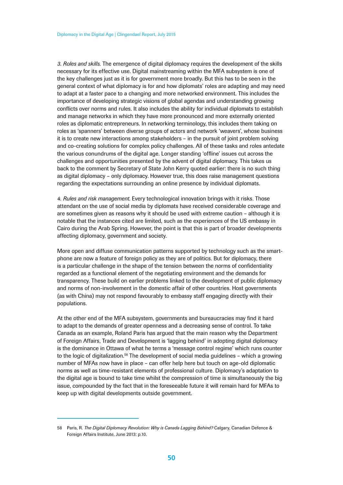*3. Roles and skills.* The emergence of digital diplomacy requires the development of the skills necessary for its effective use. Digital mainstreaming within the MFA subsystem is one of the key challenges just as it is for government more broadly. But this has to be seen in the general context of what diplomacy is for and how diplomats' roles are adapting and may need to adapt at a faster pace to a changing and more networked environment. This includes the importance of developing strategic visions of global agendas and understanding growing conflicts over norms and rules. It also includes the ability for individual diplomats to establish and manage networks in which they have more pronounced and more externally oriented roles as diplomatic entrepreneurs. In networking terminology, this includes them taking on roles as 'spanners' between diverse groups of actors and network 'weavers', whose business it is to create new interactions among stakeholders – in the pursuit of joint problem solving and co-creating solutions for complex policy challenges. All of these tasks and roles antedate the various conundrums of the digital age. Longer standing 'offline' issues cut across the challenges and opportunities presented by the advent of digital diplomacy. This takes us back to the comment by Secretary of State John Kerry quoted earlier: there is no such thing as digital diplomacy – only diplomacy. However true, this does raise management questions regarding the expectations surrounding an online presence by individual diplomats.

*4. Rules and risk management.* Every technological innovation brings with it risks. Those attendant on the use of social media by diplomats have received considerable coverage and are sometimes given as reasons why it should be used with extreme caution – although it is notable that the instances cited are limited, such as the experiences of the US embassy in Cairo during the Arab Spring. However, the point is that this is part of broader developments affecting diplomacy, government and society.

More open and diffuse communication patterns supported by technology such as the smartphone are now a feature of foreign policy as they are of politics. But for diplomacy, there is a particular challenge in the shape of the tension between the norms of confidentiality regarded as a functional element of the negotiating environment and the demands for transparency. These build on earlier problems linked to the development of public diplomacy and norms of non-involvement in the domestic affair of other countries. Host governments (as with China) may not respond favourably to embassy staff engaging directly with their populations.

At the other end of the MFA subsystem, governments and bureaucracies may find it hard to adapt to the demands of greater openness and a decreasing sense of control. To take Canada as an example, Roland Paris has argued that the main reason why the Department of Foreign Affairs, Trade and Development is 'lagging behind' in adopting digital diplomacy is the dominance in Ottawa of what he terms a 'message control regime' which runs counter to the logic of digitalization. $58$  The development of social media guidelines – which a growing number of MFAs now have in place – can offer help here but touch on age-old diplomatic norms as well as time-resistant elements of professional culture. Diplomacy's adaptation to the digital age is bound to take time whilst the compression of time is simultaneously the big issue, compounded by the fact that in the foreseeable future it will remain hard for MFAs to keep up with digital developments outside government.

<sup>58</sup> Paris, R. *The Digital Diplomacy Revolution: Why is Canada Lagging Behind?* Calgary, Canadian Defence & Foreign Affairs Institute, June 2013: p.10.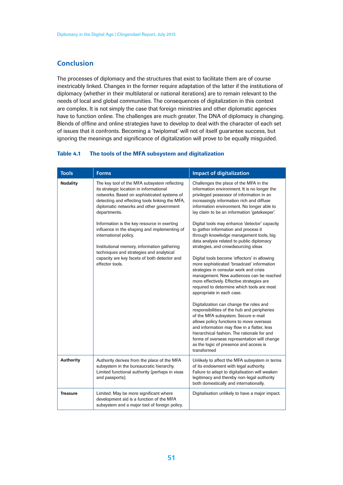# <span id="page-50-0"></span>**Conclusion**

The processes of diplomacy and the structures that exist to facilitate them are of course inextricably linked. Changes in the former require adaptation of the latter if the institutions of diplomacy (whether in their multilateral or national iterations) are to remain relevant to the needs of local and global communities. The consequences of digitalization in this context are complex. It is not simply the case that foreign ministries and other diplomatic agencies have to function online. The challenges are much greater. The DNA of diplomacy is changing. Blends of offline and online strategies have to develop to deal with the character of each set of issues that it confronts. Becoming a 'twiplomat' will not of itself guarantee success, but ignoring the meanings and significance of digitalization will prove to be equally misguided.

#### Table 4.1 The tools of the MFA subsystem and digitalization

| <b>Tools</b>     | <b>Forms</b>                                                                                                                                                                                                                                                                       | <b>Impact of digitalization</b>                                                                                                                                                                                                                                                                                                                                                                                                                                                                                                                                                                                                                                                                                                                                                                                                                                                                                       |
|------------------|------------------------------------------------------------------------------------------------------------------------------------------------------------------------------------------------------------------------------------------------------------------------------------|-----------------------------------------------------------------------------------------------------------------------------------------------------------------------------------------------------------------------------------------------------------------------------------------------------------------------------------------------------------------------------------------------------------------------------------------------------------------------------------------------------------------------------------------------------------------------------------------------------------------------------------------------------------------------------------------------------------------------------------------------------------------------------------------------------------------------------------------------------------------------------------------------------------------------|
| <b>Nodality</b>  | The key tool of the MFA subsystem reflecting<br>its strategic location in informational<br>networks. Based on sophisticated systems of<br>detecting and effecting tools linking the MFA,<br>diplomatic networks and other government<br>departments.                               | Challenges the place of the MFA in the<br>information environment. It is no longer the<br>privileged possessor of information in an<br>increasingly information rich and diffuse<br>information environment. No longer able to<br>lay claim to be an information 'gatekeeper'.                                                                                                                                                                                                                                                                                                                                                                                                                                                                                                                                                                                                                                        |
|                  | Information is the key resource in exerting<br>influence in the shaping and implementing of<br>international policy.<br>Institutional memory, information gathering<br>techniques and strategies and analytical<br>capacity are key facets of both detector and<br>effector tools. | Digital tools may enhance 'detector' capacity<br>to gather information and process it<br>through knowledge management tools, big<br>data analysis related to public diplomacy<br>strategies, and crowdsourcing ideas<br>Digital tools become 'effectors' in allowing<br>more sophisticated 'broadcast' information<br>strategies in consular work and crisis<br>management. New audiences can be reached<br>more effectively. Effective strategies are<br>required to determine which tools are most<br>appropriate in each case.<br>Digitalization can change the roles and<br>responsibilities of the hub and peripheries<br>of the MFA subsystem. Secure e-mail<br>allows policy functions to move overseas<br>and information may flow in a flatter, less<br>hierarchical fashion. The rationale for and<br>forms of overseas representation will change<br>as the logic of presence and access is<br>transformed |
| <b>Authority</b> | Authority derives from the place of the MFA<br>subsystem in the bureaucratic hierarchy.<br>Limited functional authority (perhaps in visas<br>and passports).                                                                                                                       | Unlikely to affect the MFA subsystem in terms<br>of its endowment with legal authority.<br>Failure to adapt to digitalisation will weaken<br>legitimacy and thereby non-legal authority<br>both domestically and internationally.                                                                                                                                                                                                                                                                                                                                                                                                                                                                                                                                                                                                                                                                                     |
| <b>Treasure</b>  | Limited. May be more significant where<br>development aid is a function of the MFA<br>subsystem and a major tool of foreign policy.                                                                                                                                                | Digitalisation unlikely to have a major impact.                                                                                                                                                                                                                                                                                                                                                                                                                                                                                                                                                                                                                                                                                                                                                                                                                                                                       |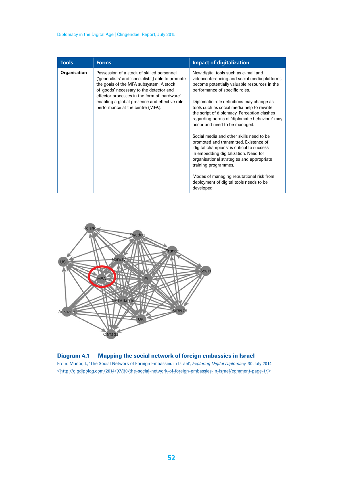#### Diplomacy in the Digital Age | Clingendael Report, July 2015

| <b>Tools</b> | <b>Forms</b>                                                                                                                                                                                                                                                                                                                | <b>Impact of digitalization</b>                                                                                                                                                                                                                                                                                                                                                      |
|--------------|-----------------------------------------------------------------------------------------------------------------------------------------------------------------------------------------------------------------------------------------------------------------------------------------------------------------------------|--------------------------------------------------------------------------------------------------------------------------------------------------------------------------------------------------------------------------------------------------------------------------------------------------------------------------------------------------------------------------------------|
| Organisation | Possession of a stock of skilled personnel<br>('generalists' and 'specialists') able to promote<br>the goals of the MFA subsystem. A stock<br>of 'goods' necessary to the detector and<br>effector processes in the form of 'hardware'<br>enabling a global presence and effective role<br>performance at the centre (MFA). | New digital tools such as e-mail and<br>videoconferencing and social media platforms<br>become potentially valuable resources in the<br>performance of specific roles.<br>Diplomatic role definitions may change as<br>tools such as social media help to rewrite<br>the script of diplomacy. Perception clashes<br>regarding norms of 'diplomatic behaviour' may                    |
|              |                                                                                                                                                                                                                                                                                                                             | occur and need to be managed.<br>Social media and other skills need to be<br>promoted and transmitted. Existence of<br>'digital champions' is critical to success<br>in embedding digitalization. Need for<br>organisational strategies and appropriate<br>training programmes.<br>Modes of managing reputational risk from<br>deployment of digital tools needs to be<br>developed. |



#### Diagram 4.1 Mapping the social network of foreign embassies in Israel

From: Manor, I., 'The Social Network of Foreign Embassies in Israel', *Exploring Digital Diplomacy*, 30 July 2014 <http://digdipblog.com/2014/07/30/the-social-network-of-foreign-embassies-in-israel/comment-page-1/>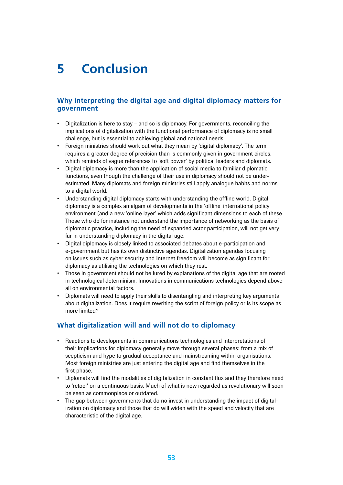# <span id="page-52-0"></span>**5 Conclusion**

# **Why interpreting the digital age and digital diplomacy matters for government**

- Digitalization is here to stay and so is diplomacy. For governments, reconciling the implications of digitalization with the functional performance of diplomacy is no small challenge, but is essential to achieving global and national needs.
- Foreign ministries should work out what they mean by 'digital diplomacy'. The term requires a greater degree of precision than is commonly given in government circles, which reminds of vague references to 'soft power' by political leaders and diplomats.
- Digital diplomacy is more than the application of social media to familiar diplomatic functions, even though the challenge of their use in diplomacy should not be underestimated. Many diplomats and foreign ministries still apply analogue habits and norms to a digital world.
- Understanding digital diplomacy starts with understanding the offline world. Digital diplomacy is a complex amalgam of developments in the 'offline' international policy environment (and a new 'online layer' which adds significant dimensions to each of these. Those who do for instance not understand the importance of networking as the basis of diplomatic practice, including the need of expanded actor participation, will not get very far in understanding diplomacy in the digital age.
- Digital diplomacy is closely linked to associated debates about e-participation and e-government but has its own distinctive agendas. Digitalization agendas focusing on issues such as cyber security and Internet freedom will become as significant for diplomacy as utilising the technologies on which they rest.
- Those in government should not be lured by explanations of the digital age that are rooted in technological determinism. Innovations in communications technologies depend above all on environmental factors.
- Diplomats will need to apply their skills to disentangling and interpreting key arguments about digitalization. Does it require rewriting the script of foreign policy or is its scope as more limited?

# **What digitalization will and will not do to diplomacy**

- Reactions to developments in communications technologies and interpretations of their implications for diplomacy generally move through several phases: from a mix of scepticism and hype to gradual acceptance and mainstreaming within organisations. Most foreign ministries are just entering the digital age and find themselves in the first phase.
- Diplomats will find the modalities of digitalization in constant flux and they therefore need to 'retool' on a continuous basis. Much of what is now regarded as revolutionary will soon be seen as commonplace or outdated.
- The gap between governments that do no invest in understanding the impact of digitalization on diplomacy and those that do will widen with the speed and velocity that are characteristic of the digital age.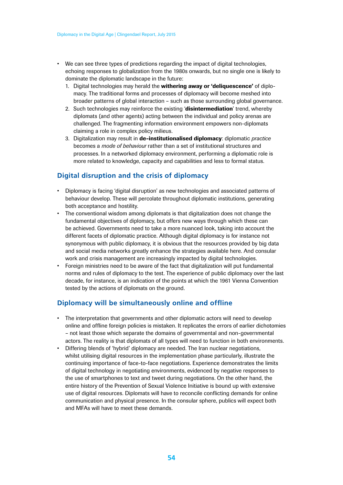- We can see three types of predictions regarding the impact of digital technologies, echoing responses to globalization from the 1980s onwards, but no single one is likely to dominate the diplomatic landscape in the future:
	- 1. Digital technologies may herald the withering away or 'deliguescence' of diplomacy. The traditional forms and processes of diplomacy will become meshed into broader patterns of global interaction – such as those surrounding global governance.
	- 2. Such technologies may reinforce the existing 'disintermediation' trend, whereby diplomats (and other agents) acting between the individual and policy arenas are challenged. The fragmenting information environment empowers non-diplomats claiming a role in complex policy milieus.
	- 3. Digitalization may result in de-institutionalised diplomacy: diplomatic *practice* becomes a *mode of behaviour* rather than a set of institutional structures and processes. In a networked diplomacy environment, performing a diplomatic role is more related to knowledge, capacity and capabilities and less to formal status.

# **Digital disruption and the crisis of diplomacy**

- Diplomacy is facing 'digital disruption' as new technologies and associated patterns of behaviour develop. These will percolate throughout diplomatic institutions, generating both acceptance and hostility.
- The conventional wisdom among diplomats is that digitalization does not change the fundamental objectives of diplomacy, but offers new ways through which these can be achieved. Governments need to take a more nuanced look, taking into account the different facets of diplomatic practice. Although digital diplomacy is for instance not synonymous with public diplomacy, it is obvious that the resources provided by big data and social media networks greatly enhance the strategies available here. And consular work and crisis management are increasingly impacted by digital technologies.
- Foreign ministries need to be aware of the fact that digitalization will put fundamental norms and rules of diplomacy to the test. The experience of public diplomacy over the last decade, for instance, is an indication of the points at which the 1961 Vienna Convention tested by the actions of diplomats on the ground.

# **Diplomacy will be simultaneously online and offline**

- The interpretation that governments and other diplomatic actors will need to develop online and offline foreign policies is mistaken. It replicates the errors of earlier dichotomies – not least those which separate the domains of governmental and non-governmental actors. The reality is that diplomats of all types will need to function in both environments.
- Differing blends of 'hybrid' diplomacy are needed. The Iran nuclear negotiations, whilst utilising digital resources in the implementation phase particularly, illustrate the continuing importance of face-to-face negotiations. Experience demonstrates the limits of digital technology in negotiating environments, evidenced by negative responses to the use of smartphones to text and tweet during negotiations. On the other hand, the entire history of the Prevention of Sexual Violence Initiative is bound up with extensive use of digital resources. Diplomats will have to reconcile conflicting demands for online communication and physical presence. In the consular sphere, publics will expect both and MFAs will have to meet these demands.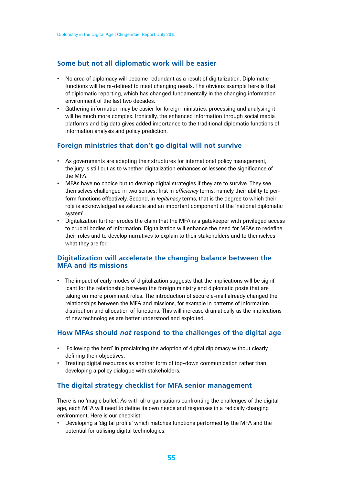# **Some but not all diplomatic work will be easier**

- No area of diplomacy will become redundant as a result of digitalization. Diplomatic functions will be re-defined to meet changing needs. The obvious example here is that of diplomatic reporting, which has changed fundamentally in the changing information environment of the last two decades.
- Gathering information may be easier for foreign ministries: processing and analysing it will be much more complex. Ironically, the enhanced information through social media platforms and big data gives added importance to the traditional diplomatic functions of information analysis and policy prediction.

# **Foreign ministries that don't go digital will not survive**

- As governments are adapting their structures for international policy management, the jury is still out as to whether digitalization enhances or lessens the significance of the MFA.
- MFAs have no choice but to develop digital strategies if they are to survive. They see themselves challenged in two senses: first in *efficiency* terms, namely their ability to perform functions effectively. Second, in *legitimacy* terms, that is the degree to which their role is acknowledged as valuable and an important component of the 'national diplomatic system'.
- Digitalization further erodes the claim that the MFA is a gatekeeper with privileged access to crucial bodies of information. Digitalization will enhance the need for MFAs to redefine their roles and to develop narratives to explain to their stakeholders and to themselves what they are for.

### **Digitalization will accelerate the changing balance between the MFA and its missions**

• The impact of early modes of digitalization suggests that the implications will be significant for the relationship between the foreign ministry and diplomatic posts that are taking on more prominent roles. The introduction of secure e-mail already changed the relationships between the MFA and missions, for example in patterns of information distribution and allocation of functions. This will increase dramatically as the implications of new technologies are better understood and exploited.

# **How MFAs should** *not* **respond to the challenges of the digital age**

- 'Following the herd' in proclaiming the adoption of digital diplomacy without clearly defining their objectives.
- Treating digital resources as another form of top-down communication rather than developing a policy dialogue with stakeholders.

# **The digital strategy checklist for MFA senior management**

There is no 'magic bullet'. As with all organisations confronting the challenges of the digital age, each MFA will need to define its own needs and responses in a radically changing environment. Here is our checklist:

• Developing a 'digital profile' which matches functions performed by the MFA and the potential for utilising digital technologies.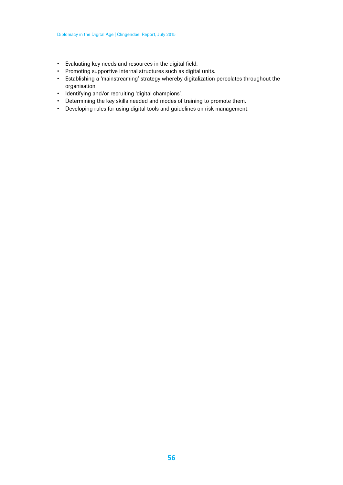- Evaluating key needs and resources in the digital field.
- Promoting supportive internal structures such as digital units.
- Establishing a 'mainstreaming' strategy whereby digitalization percolates throughout the organisation.
- Identifying and/or recruiting 'digital champions'.
- Determining the key skills needed and modes of training to promote them.
- Developing rules for using digital tools and guidelines on risk management.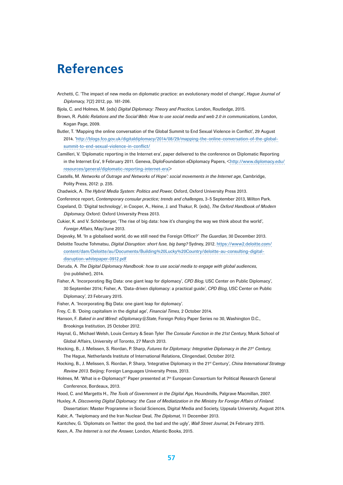# <span id="page-56-0"></span>**References**

- Archetti, C. 'The impact of new media on diplomatic practice: an evolutionary model of change', *Hague Journal of Diplomacy*, 7(2) 2012, pp. 181-206.
- Bjola, C. and Holmes, M. (eds) *Digital Diplomacy: Theory and Practice*, London, Routledge, 2015.
- Brown, R. *Public Relations and the Social Web: How to use social media and web 2.0 in communications*, London, Kogan Page, 2009.
- Butler, T. 'Mapping the online conversation of the Global Summit to End Sexual Violence in Conflict', 29 August 2014. 'http://blogs.fco.gov.uk/digitaldiplomacy/2014/08/29/mapping-the-online-conversation-of-the-globalsummit-to-end-sexual-violence-in-conflict/
- Camilleri, V. 'Diplomatic reporting in the Internet era', paper delivered to the conference on Diplomatic Reporting in the Internet Era', 9 February 2011. Geneva, DiploFoundation eDiplomacy Papers, <http://www.diplomacy.edu/ resources/general/diplomatic-reporting-internet-era>
- Castells, M. *Networks of Outrage and Networks of Hope': social movements in the Internet age*, Cambridge, Polity Press, 2012: p. 235.
- Chadwick, A. *The Hybrid Media System: Politics and Power*, Oxford, Oxford University Press 2013.
- Conference report, *Contemporary consular practice; trends and challenges*, 3-5 September 2013, Wilton Park.
- Copeland, D. 'Digital technology', in Cooper, A., Heine, J. and Thakur, R. (eds), *The Oxford Handbook of Modern Diplomacy*. Oxford: Oxford University Press 2013.
- Cukier, K. and V. Schönberger, 'The rise of big data: how it's changing the way we think about the world', *Foreign Affairs*, May/June 2013.

Dejevsky, M. 'In a globalised world, do we still need the Foreign Office?' *The Guardian*, 30 December 2013.

Deloitte Touche Tohmatsu, *Digital Disruption: short fuse, big bang?* Sydney, 2012. https://www2.deloitte.com/ content/dam/Deloitte/au/Documents/Building%20Lucky%20Country/deloitte-au-consulting-digitaldisruption-whitepaper-0912.pdf

- Deruda, A. *The Digital Diplomacy Handbook: how to use social media to engage with global audiences*, (no publisher), 2014.
- Fisher, A. 'Incorporating Big Data: one giant leap for diplomacy', *CPD Blog*, USC Center on Public Diplomacy', 30 September 2014; Fisher, A. 'Data-driven diplomacy: a practical guide', *CPD Blog*, USC Center on Public Diplomacy', 23 February 2015.
- Fisher, A. 'Incorporating Big Data: one giant leap for diplomacy'.
- Frey, C. B. 'Doing capitalism in the digital age', *Financial Times*, 2 October 2014.
- Hanson, F. *Baked in and Wired: eDiplomacy@State*, Foreign Policy Paper Series no 30, Washington D.C., Brookings Institution, 25 October 2012.
- Haynal, G., Michael Welsh, Louis Century & Sean Tyler *The Consular Function in the 21st Century*, Munk School of Global Affairs, University of Toronto, 27 March 2013.
- Hocking, B., J. Melissen, S. Riordan, P. Sharp, *Futures for Diplomacy: Integrative Diplomacy in the 21st Century*, The Hague, Netherlands Institute of International Relations, Clingendael, October 2012.
- Hocking, B., J. Melissen, S. Riordan, P. Sharp, 'Integrative Diplomacy in the 21st Century', *China International Strategy Review 2013*. Beijing: Foreign Languages University Press, 2013.
- Holmes, M. 'What is e-Diplomacy?' Paper presented at 7th European Consortium for Political Research General Conference, Bordeaux, 2013.
- Hood, C. and Margetts H., *The Tools of Government in the Digital Age*, Houndmills, Palgrave Macmillan, 2007.
- Huxley, A. *Discovering Digital Diplomacy: the Case of Mediatization in the Ministry for Foreign Affairs of Finland*.
- Dissertation: Master Programme in Social Sciences, Digital Media and Society, Uppsala University, August 2014. Kabir, A. 'Twiplomacy and the Iran Nuclear Deal, *The Diplomat*, 11 December 2013.
- Kantchev, G. 'Diplomats on Twitter: the good, the bad and the ugly', *Wall Street Journal*, 24 February 2015.
- Keen, A. *The Internet is not the Answer*, London, Atlantic Books, 2015.